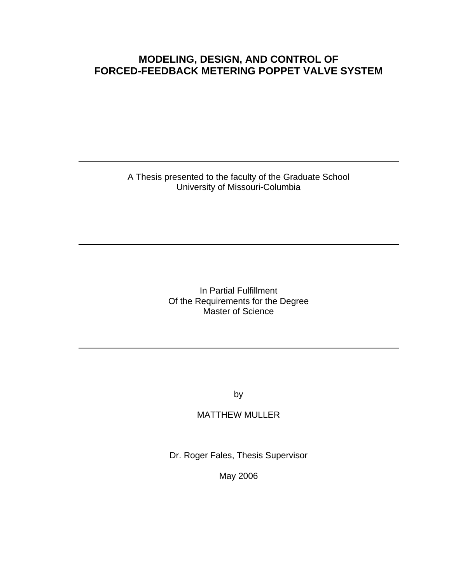# **MODELING, DESIGN, AND CONTROL OF FORCED-FEEDBACK METERING POPPET VALVE SYSTEM**

A Thesis presented to the faculty of the Graduate School University of Missouri-Columbia

> In Partial Fulfillment Of the Requirements for the Degree Master of Science

> > by

# MATTHEW MULLER

Dr. Roger Fales, Thesis Supervisor

May 2006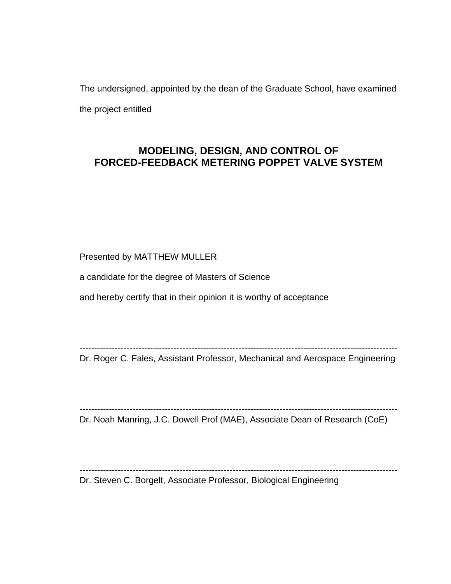The undersigned, appointed by the dean of the Graduate School, have examined the project entitled

# **MODELING, DESIGN, AND CONTROL OF FORCED-FEEDBACK METERING POPPET VALVE SYSTEM**

Presented by MATTHEW MULLER

a candidate for the degree of Masters of Science

and hereby certify that in their opinion it is worthy of acceptance

------------------------------------------------------------------------------------------------------------

Dr. Roger C. Fales, Assistant Professor, Mechanical and Aerospace Engineering

------------------------------------------------------------------------------------------------------------

------------------------------------------------------------------------------------------------------------

Dr. Noah Manring, J.C. Dowell Prof (MAE), Associate Dean of Research (CoE)

Dr. Steven C. Borgelt, Associate Professor, Biological Engineering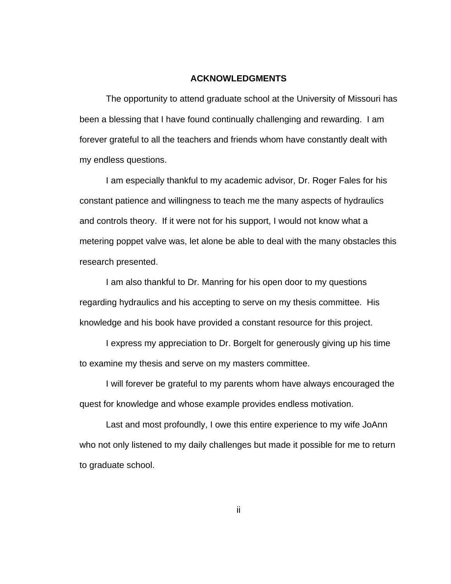## **ACKNOWLEDGMENTS**

The opportunity to attend graduate school at the University of Missouri has been a blessing that I have found continually challenging and rewarding. I am forever grateful to all the teachers and friends whom have constantly dealt with my endless questions.

 I am especially thankful to my academic advisor, Dr. Roger Fales for his constant patience and willingness to teach me the many aspects of hydraulics and controls theory. If it were not for his support, I would not know what a metering poppet valve was, let alone be able to deal with the many obstacles this research presented.

 I am also thankful to Dr. Manring for his open door to my questions regarding hydraulics and his accepting to serve on my thesis committee. His knowledge and his book have provided a constant resource for this project.

 I express my appreciation to Dr. Borgelt for generously giving up his time to examine my thesis and serve on my masters committee.

 I will forever be grateful to my parents whom have always encouraged the quest for knowledge and whose example provides endless motivation.

 Last and most profoundly, I owe this entire experience to my wife JoAnn who not only listened to my daily challenges but made it possible for me to return to graduate school.

ii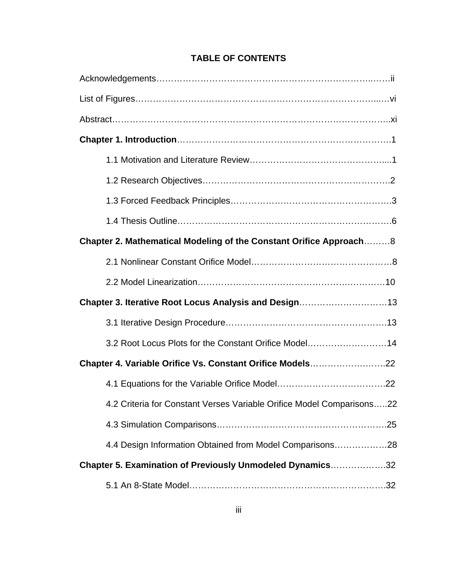| Chapter 2. Mathematical Modeling of the Constant Orifice Approach8    |
|-----------------------------------------------------------------------|
|                                                                       |
|                                                                       |
| Chapter 3. Iterative Root Locus Analysis and Design13                 |
|                                                                       |
| 3.2 Root Locus Plots for the Constant Orifice Model14                 |
| Chapter 4. Variable Orifice Vs. Constant Orifice Models22             |
|                                                                       |
| 4.2 Criteria for Constant Verses Variable Orifice Model Comparisons22 |
|                                                                       |
| 4.4 Design Information Obtained from Model Comparisons28              |
| Chapter 5. Examination of Previously Unmodeled Dynamics32             |
|                                                                       |

# **TABLE OF CONTENTS**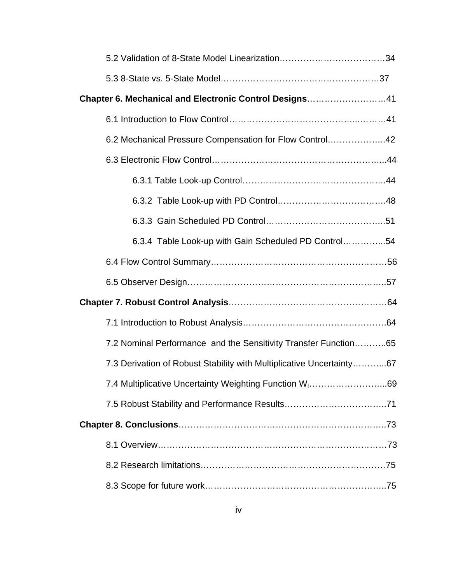| Chapter 6. Mechanical and Electronic Control Designs41               |
|----------------------------------------------------------------------|
|                                                                      |
| 6.2 Mechanical Pressure Compensation for Flow Control42              |
|                                                                      |
|                                                                      |
|                                                                      |
|                                                                      |
| 6.3.4 Table Look-up with Gain Scheduled PD Control54                 |
|                                                                      |
|                                                                      |
|                                                                      |
|                                                                      |
|                                                                      |
| 7.2 Nominal Performance and the Sensitivity Transfer Function65      |
| 7.3 Derivation of Robust Stability with Multiplicative Uncertainty67 |
| 7.4 Multiplicative Uncertainty Weighting Function W <sub>1</sub> 69  |
|                                                                      |
|                                                                      |
|                                                                      |
|                                                                      |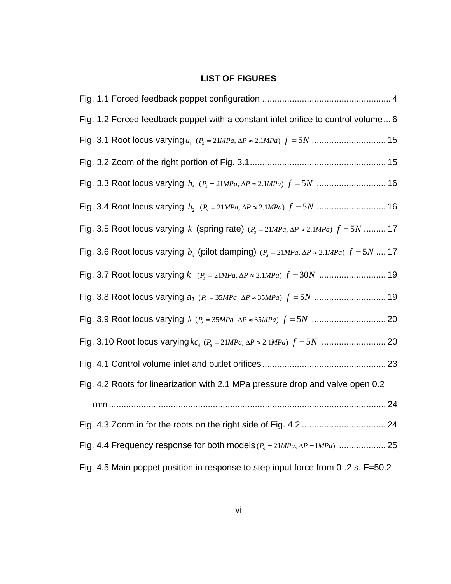# **LIST OF FIGURES**

| Fig. 1.2 Forced feedback poppet with a constant inlet orifice to control volume 6                      |
|--------------------------------------------------------------------------------------------------------|
|                                                                                                        |
|                                                                                                        |
|                                                                                                        |
|                                                                                                        |
| Fig. 3.5 Root locus varying k (spring rate) $(P_s = 21 MPa, \Delta P \approx 2.1 MPa) f = 5N$ 17       |
| Fig. 3.6 Root locus varying $b_r$ (pilot damping) $(P_s = 21 MPa, \Delta P \approx 2.1 MPa) f = 5N$ 17 |
|                                                                                                        |
|                                                                                                        |
|                                                                                                        |
|                                                                                                        |
|                                                                                                        |
| Fig. 4.2 Roots for linearization with 2.1 MPa pressure drop and valve open 0.2                         |
|                                                                                                        |
|                                                                                                        |
|                                                                                                        |
| Fig. 4.5 Main poppet position in response to step input force from 0-.2 s, F=50.2                      |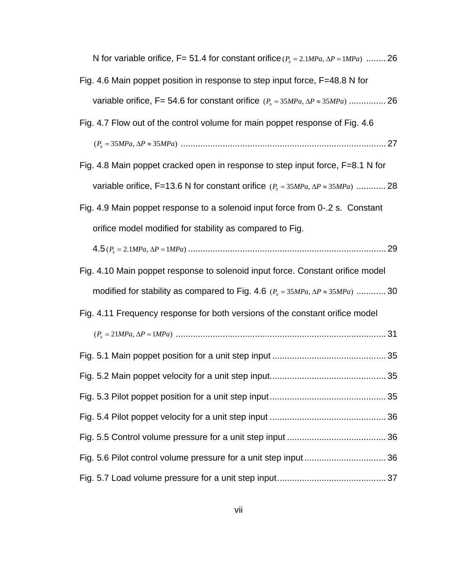| N for variable orifice, F= 51.4 for constant orifice $(P_s = 2.1 MPa, \Delta P = 1 MPa)$ 26 |
|---------------------------------------------------------------------------------------------|
| Fig. 4.6 Main poppet position in response to step input force, F=48.8 N for                 |
|                                                                                             |
| Fig. 4.7 Flow out of the control volume for main poppet response of Fig. 4.6                |
|                                                                                             |
| Fig. 4.8 Main poppet cracked open in response to step input force, F=8.1 N for              |
| variable orifice, F=13.6 N for constant orifice $(P_s = 35MPa, \Delta P \approx 35MPa)$ 28  |
| Fig. 4.9 Main poppet response to a solenoid input force from 0-.2 s. Constant               |
| orifice model modified for stability as compared to Fig.                                    |
|                                                                                             |
| Fig. 4.10 Main poppet response to solenoid input force. Constant orifice model              |
| modified for stability as compared to Fig. 4.6 $(P_s = 35MPa, \Delta P \approx 35MPa)$ 30   |
| Fig. 4.11 Frequency response for both versions of the constant orifice model                |
|                                                                                             |
|                                                                                             |
|                                                                                             |
|                                                                                             |
|                                                                                             |
|                                                                                             |
|                                                                                             |
|                                                                                             |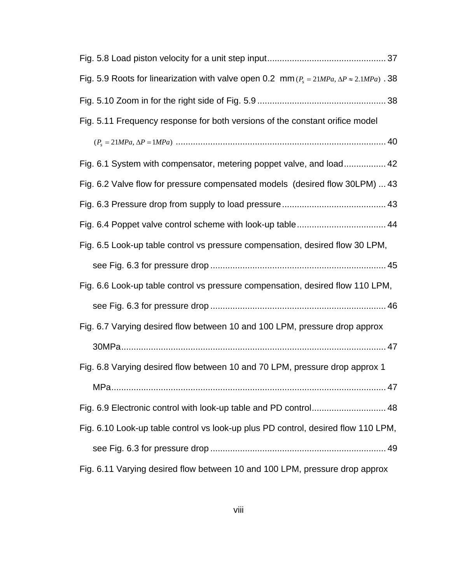| Fig. 5.9 Roots for linearization with valve open 0.2 mm ( $P_s = 21 MPa$ , $\Delta P \approx 2.1 MPa$ ). 38 |
|-------------------------------------------------------------------------------------------------------------|
|                                                                                                             |
| Fig. 5.11 Frequency response for both versions of the constant orifice model                                |
|                                                                                                             |
| Fig. 6.1 System with compensator, metering poppet valve, and load 42                                        |
| Fig. 6.2 Valve flow for pressure compensated models (desired flow 30LPM)  43                                |
|                                                                                                             |
|                                                                                                             |
| Fig. 6.5 Look-up table control vs pressure compensation, desired flow 30 LPM,                               |
|                                                                                                             |
| Fig. 6.6 Look-up table control vs pressure compensation, desired flow 110 LPM,                              |
|                                                                                                             |
| Fig. 6.7 Varying desired flow between 10 and 100 LPM, pressure drop approx                                  |
|                                                                                                             |
| Fig. 6.8 Varying desired flow between 10 and 70 LPM, pressure drop approx 1                                 |
|                                                                                                             |
|                                                                                                             |
| Fig. 6.10 Look-up table control vs look-up plus PD control, desired flow 110 LPM,                           |
|                                                                                                             |
| Fig. 6.11 Varying desired flow between 10 and 100 LPM, pressure drop approx                                 |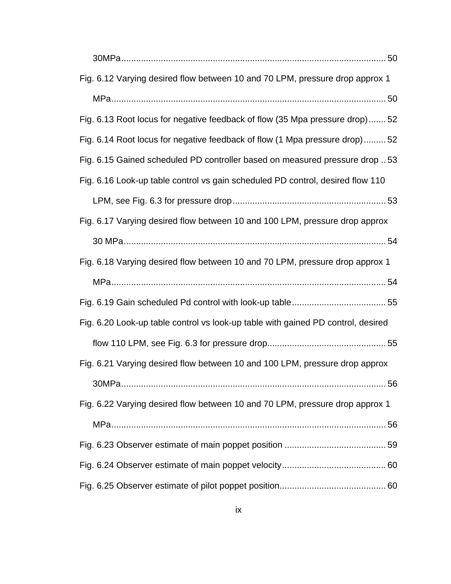| Fig. 6.12 Varying desired flow between 10 and 70 LPM, pressure drop approx 1     |
|----------------------------------------------------------------------------------|
|                                                                                  |
| Fig. 6.13 Root locus for negative feedback of flow (35 Mpa pressure drop)52      |
| Fig. 6.14 Root locus for negative feedback of flow (1 Mpa pressure drop)52       |
| Fig. 6.15 Gained scheduled PD controller based on measured pressure drop 53      |
| Fig. 6.16 Look-up table control vs gain scheduled PD control, desired flow 110   |
|                                                                                  |
| Fig. 6.17 Varying desired flow between 10 and 100 LPM, pressure drop approx      |
|                                                                                  |
| Fig. 6.18 Varying desired flow between 10 and 70 LPM, pressure drop approx 1     |
|                                                                                  |
|                                                                                  |
|                                                                                  |
| Fig. 6.20 Look-up table control vs look-up table with gained PD control, desired |
|                                                                                  |
| Fig. 6.21 Varying desired flow between 10 and 100 LPM, pressure drop approx      |
|                                                                                  |
| Fig. 6.22 Varying desired flow between 10 and 70 LPM, pressure drop approx 1     |
|                                                                                  |
|                                                                                  |
|                                                                                  |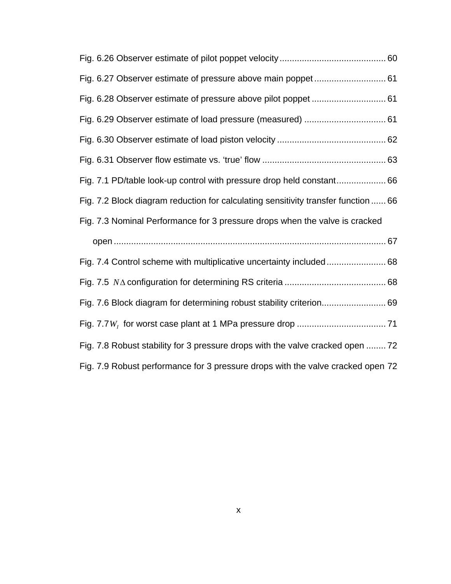| Fig. 6.29 Observer estimate of load pressure (measured)  61                        |
|------------------------------------------------------------------------------------|
|                                                                                    |
|                                                                                    |
| Fig. 7.1 PD/table look-up control with pressure drop held constant 66              |
| Fig. 7.2 Block diagram reduction for calculating sensitivity transfer function  66 |
| Fig. 7.3 Nominal Performance for 3 pressure drops when the valve is cracked        |
|                                                                                    |
|                                                                                    |
|                                                                                    |
| Fig. 7.6 Block diagram for determining robust stability criterion 69               |
|                                                                                    |
| Fig. 7.8 Robust stability for 3 pressure drops with the valve cracked open  72     |
| Fig. 7.9 Robust performance for 3 pressure drops with the valve cracked open 72    |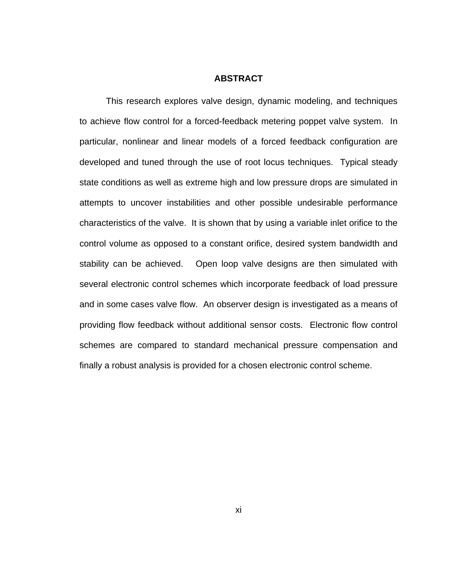## **ABSTRACT**

 This research explores valve design, dynamic modeling, and techniques to achieve flow control for a forced-feedback metering poppet valve system. In particular, nonlinear and linear models of a forced feedback configuration are developed and tuned through the use of root locus techniques. Typical steady state conditions as well as extreme high and low pressure drops are simulated in attempts to uncover instabilities and other possible undesirable performance characteristics of the valve. It is shown that by using a variable inlet orifice to the control volume as opposed to a constant orifice, desired system bandwidth and stability can be achieved. Open loop valve designs are then simulated with several electronic control schemes which incorporate feedback of load pressure and in some cases valve flow. An observer design is investigated as a means of providing flow feedback without additional sensor costs. Electronic flow control schemes are compared to standard mechanical pressure compensation and finally a robust analysis is provided for a chosen electronic control scheme.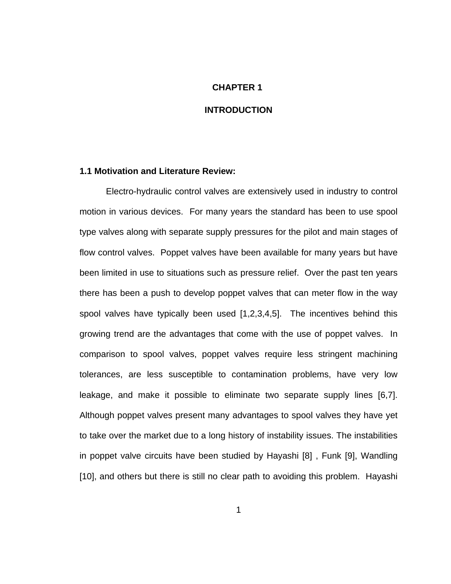#### **CHAPTER 1**

## **INTRODUCTION**

## **1.1 Motivation and Literature Review:**

 Electro-hydraulic control valves are extensively used in industry to control motion in various devices. For many years the standard has been to use spool type valves along with separate supply pressures for the pilot and main stages of flow control valves. Poppet valves have been available for many years but have been limited in use to situations such as pressure relief. Over the past ten years there has been a push to develop poppet valves that can meter flow in the way spool valves have typically been used [1,2,3,4,5]. The incentives behind this growing trend are the advantages that come with the use of poppet valves. In comparison to spool valves, poppet valves require less stringent machining tolerances, are less susceptible to contamination problems, have very low leakage, and make it possible to eliminate two separate supply lines [6,7]. Although poppet valves present many advantages to spool valves they have yet to take over the market due to a long history of instability issues. The instabilities in poppet valve circuits have been studied by Hayashi [8] , Funk [9], Wandling [10], and others but there is still no clear path to avoiding this problem. Hayashi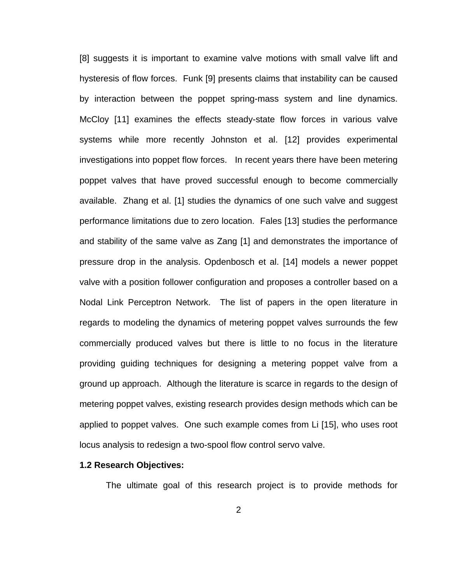[8] suggests it is important to examine valve motions with small valve lift and hysteresis of flow forces. Funk [9] presents claims that instability can be caused by interaction between the poppet spring-mass system and line dynamics. McCloy [11] examines the effects steady-state flow forces in various valve systems while more recently Johnston et al. [12] provides experimental investigations into poppet flow forces. In recent years there have been metering poppet valves that have proved successful enough to become commercially available. Zhang et al. [1] studies the dynamics of one such valve and suggest performance limitations due to zero location. Fales [13] studies the performance and stability of the same valve as Zang [1] and demonstrates the importance of pressure drop in the analysis. Opdenbosch et al. [14] models a newer poppet valve with a position follower configuration and proposes a controller based on a Nodal Link Perceptron Network. The list of papers in the open literature in regards to modeling the dynamics of metering poppet valves surrounds the few commercially produced valves but there is little to no focus in the literature providing guiding techniques for designing a metering poppet valve from a ground up approach. Although the literature is scarce in regards to the design of metering poppet valves, existing research provides design methods which can be applied to poppet valves. One such example comes from Li [15], who uses root locus analysis to redesign a two-spool flow control servo valve.

### **1.2 Research Objectives:**

The ultimate goal of this research project is to provide methods for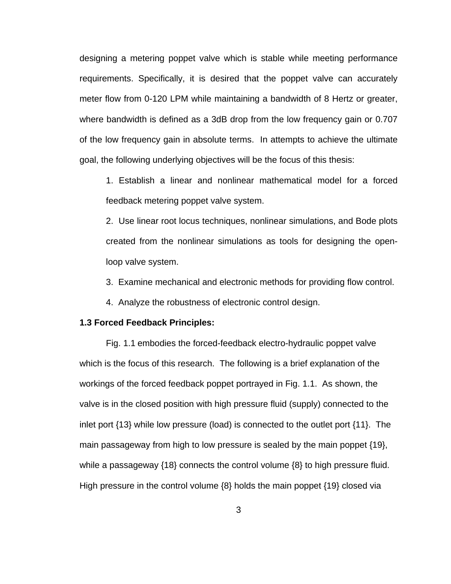designing a metering poppet valve which is stable while meeting performance requirements. Specifically, it is desired that the poppet valve can accurately meter flow from 0-120 LPM while maintaining a bandwidth of 8 Hertz or greater, where bandwidth is defined as a 3dB drop from the low frequency gain or 0.707 of the low frequency gain in absolute terms. In attempts to achieve the ultimate goal, the following underlying objectives will be the focus of this thesis:

1. Establish a linear and nonlinear mathematical model for a forced feedback metering poppet valve system.

2. Use linear root locus techniques, nonlinear simulations, and Bode plots created from the nonlinear simulations as tools for designing the openloop valve system.

3. Examine mechanical and electronic methods for providing flow control.

4. Analyze the robustness of electronic control design.

## **1.3 Forced Feedback Principles:**

[Fig. 1.1](#page-15-1) embodies the forced-feedback electro-hydraulic poppet valve which is the focus of this research. The following is a brief explanation of the workings of the forced feedback poppet portrayed in [Fig. 1.1.](#page-15-1) As shown, the valve is in the closed position with high pressure fluid (supply) connected to the inlet port {13} while low pressure (load) is connected to the outlet port {11}. The main passageway from high to low pressure is sealed by the main poppet {19}, while a passageway {18} connects the control volume {8} to high pressure fluid. High pressure in the control volume {8} holds the main poppet {19} closed via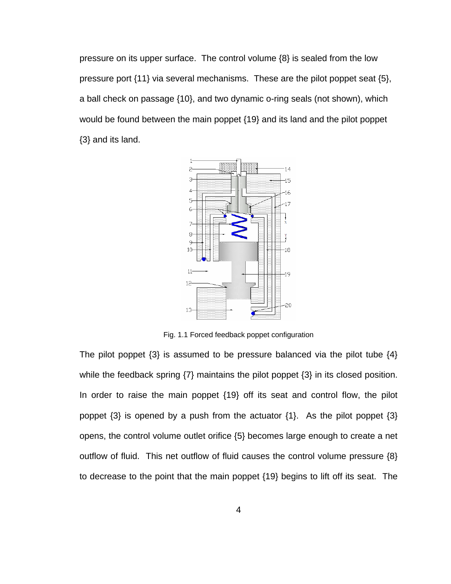<span id="page-15-0"></span>pressure on its upper surface. The control volume {8} is sealed from the low pressure port {11} via several mechanisms. These are the pilot poppet seat {5}, a ball check on passage {10}, and two dynamic o-ring seals (not shown), which would be found between the main poppet {19} and its land and the pilot poppet {3} and its land.



Fig. 1.1 Forced feedback poppet configuration

<span id="page-15-1"></span>The pilot poppet  $\{3\}$  is assumed to be pressure balanced via the pilot tube  $\{4\}$ while the feedback spring {7} maintains the pilot poppet {3} in its closed position. In order to raise the main poppet {19} off its seat and control flow, the pilot poppet  $\{3\}$  is opened by a push from the actuator  $\{1\}$ . As the pilot poppet  $\{3\}$ opens, the control volume outlet orifice {5} becomes large enough to create a net outflow of fluid. This net outflow of fluid causes the control volume pressure {8} to decrease to the point that the main poppet {19} begins to lift off its seat. The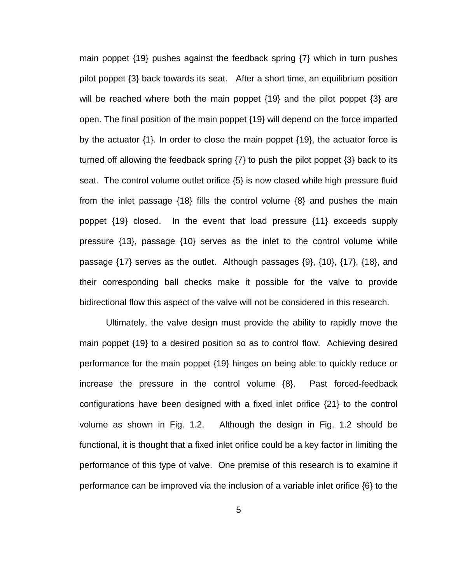main poppet {19} pushes against the feedback spring {7} which in turn pushes pilot poppet {3} back towards its seat. After a short time, an equilibrium position will be reached where both the main poppet {19} and the pilot poppet {3} are open. The final position of the main poppet {19} will depend on the force imparted by the actuator {1}. In order to close the main poppet {19}, the actuator force is turned off allowing the feedback spring {7} to push the pilot poppet {3} back to its seat. The control volume outlet orifice {5} is now closed while high pressure fluid from the inlet passage {18} fills the control volume {8} and pushes the main poppet {19} closed. In the event that load pressure {11} exceeds supply pressure {13}, passage {10} serves as the inlet to the control volume while passage {17} serves as the outlet. Although passages {9}, {10}, {17}, {18}, and their corresponding ball checks make it possible for the valve to provide bidirectional flow this aspect of the valve will not be considered in this research.

 Ultimately, the valve design must provide the ability to rapidly move the main poppet {19} to a desired position so as to control flow. Achieving desired performance for the main poppet {19} hinges on being able to quickly reduce or increase the pressure in the control volume {8}. Past forced-feedback configurations have been designed with a fixed inlet orifice {21} to the control volume as shown in [Fig. 1.2](#page-17-1). Although the design in [Fig. 1.2](#page-17-1) should be functional, it is thought that a fixed inlet orifice could be a key factor in limiting the performance of this type of valve. One premise of this research is to examine if performance can be improved via the inclusion of a variable inlet orifice {6} to the

5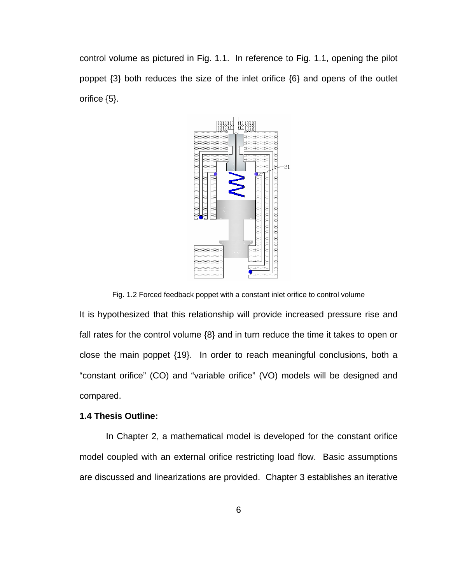<span id="page-17-0"></span>control volume as pictured in [Fig. 1.1](#page-15-1). In reference to [Fig. 1.1](#page-15-1), opening the pilot poppet {3} both reduces the size of the inlet orifice {6} and opens of the outlet orifice {5}.



Fig. 1.2 Forced feedback poppet with a constant inlet orifice to control volume

<span id="page-17-1"></span>It is hypothesized that this relationship will provide increased pressure rise and fall rates for the control volume {8} and in turn reduce the time it takes to open or close the main poppet {19}. In order to reach meaningful conclusions, both a "constant orifice" (CO) and "variable orifice" (VO) models will be designed and compared.

## **1.4 Thesis Outline:**

 In Chapter 2, a mathematical model is developed for the constant orifice model coupled with an external orifice restricting load flow. Basic assumptions are discussed and linearizations are provided. Chapter 3 establishes an iterative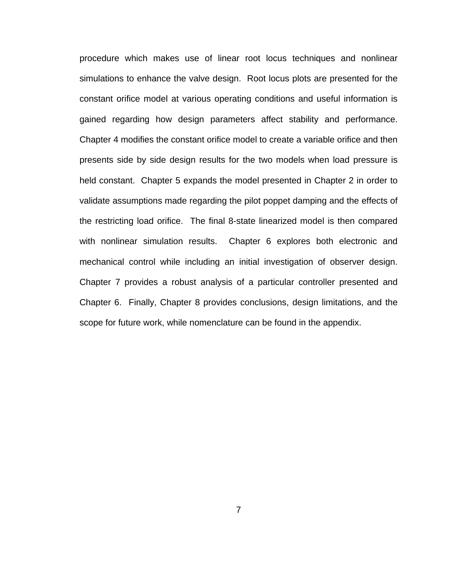procedure which makes use of linear root locus techniques and nonlinear simulations to enhance the valve design. Root locus plots are presented for the constant orifice model at various operating conditions and useful information is gained regarding how design parameters affect stability and performance. Chapter 4 modifies the constant orifice model to create a variable orifice and then presents side by side design results for the two models when load pressure is held constant. Chapter 5 expands the model presented in Chapter 2 in order to validate assumptions made regarding the pilot poppet damping and the effects of the restricting load orifice. The final 8-state linearized model is then compared with nonlinear simulation results. Chapter 6 explores both electronic and mechanical control while including an initial investigation of observer design. Chapter 7 provides a robust analysis of a particular controller presented and Chapter 6. Finally, Chapter 8 provides conclusions, design limitations, and the scope for future work, while nomenclature can be found in the appendix.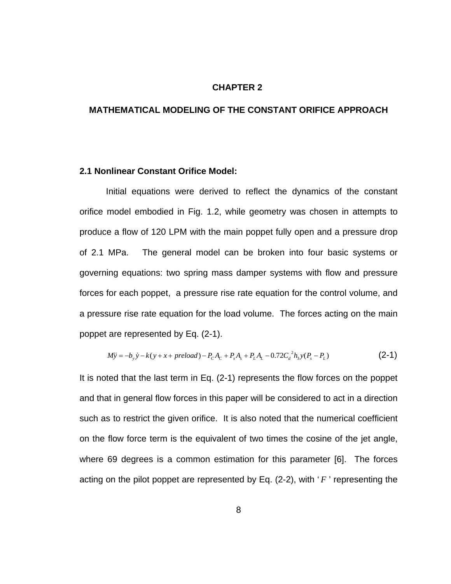#### **CHAPTER 2**

## **MATHEMATICAL MODELING OF THE CONSTANT ORIFICE APPROACH**

### **2.1 Nonlinear Constant Orifice Model:**

Initial equations were derived to reflect the dynamics of the constant orifice model embodied in [Fig. 1.2,](#page-17-1) while geometry was chosen in attempts to produce a flow of 120 LPM with the main poppet fully open and a pressure drop of 2.1 MPa. The general model can be broken into four basic systems or governing equations: two spring mass damper systems with flow and pressure forces for each poppet, a pressure rise rate equation for the control volume, and a pressure rise rate equation for the load volume. The forces acting on the main poppet are represented by Eq. (2-1).

$$
M\ddot{y} = -b_y \dot{y} - k(y + x + preload) - P_c A_c + P_s A_s + P_L A_L - 0.72 C_d^2 h_3 y (P_s - P_L)
$$
\n(2-1)

It is noted that the last term in Eq. (2-1) represents the flow forces on the poppet and that in general flow forces in this paper will be considered to act in a direction such as to restrict the given orifice. It is also noted that the numerical coefficient on the flow force term is the equivalent of two times the cosine of the jet angle, where 69 degrees is a common estimation for this parameter [6]. The forces acting on the pilot poppet are represented by Eq. (2-2), with ' *F* ' representing the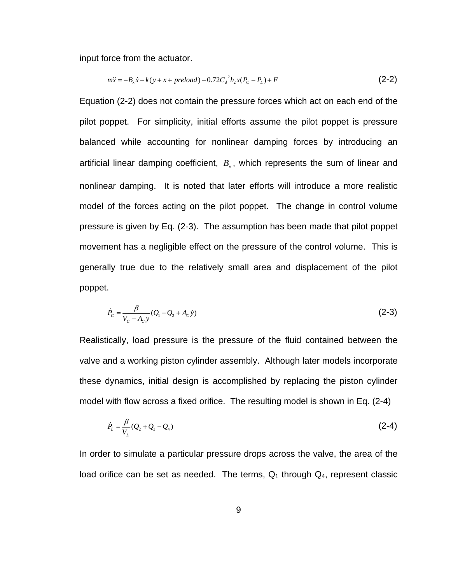input force from the actuator.

$$
m\ddot{x} = -B_x \dot{x} - k(y + x + preload) - 0.72C_d^2 h_2 x (P_c - P_L) + F
$$
\n(2-2)

Equation (2-2) does not contain the pressure forces which act on each end of the pilot poppet. For simplicity, initial efforts assume the pilot poppet is pressure balanced while accounting for nonlinear damping forces by introducing an artificial linear damping coefficient,  $B<sub>x</sub>$ , which represents the sum of linear and nonlinear damping. It is noted that later efforts will introduce a more realistic model of the forces acting on the pilot poppet. The change in control volume pressure is given by Eq. (2-3). The assumption has been made that pilot poppet movement has a negligible effect on the pressure of the control volume. This is generally true due to the relatively small area and displacement of the pilot poppet.

$$
\dot{P}_c = \frac{\beta}{V_c - A_c y} (Q_1 - Q_2 + A_c y)
$$
\n(2-3)

Realistically, load pressure is the pressure of the fluid contained between the valve and a working piston cylinder assembly. Although later models incorporate these dynamics, initial design is accomplished by replacing the piston cylinder model with flow across a fixed orifice. The resulting model is shown in Eq. (2-4)

$$
\dot{P}_L = \frac{\beta}{V_L} (Q_2 + Q_3 - Q_4) \tag{2-4}
$$

In order to simulate a particular pressure drops across the valve, the area of the load orifice can be set as needed. The terms,  $Q_1$  through  $Q_4$ , represent classic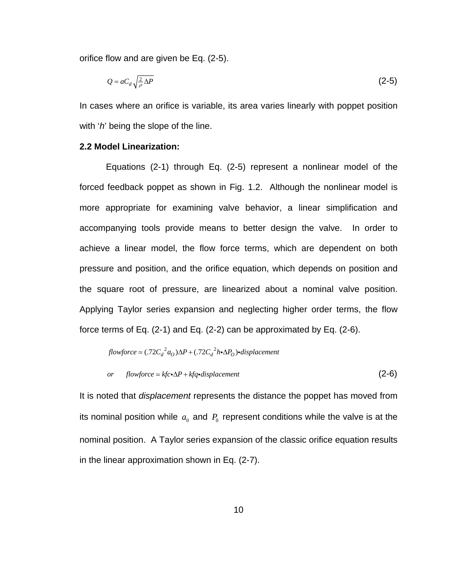orifice flow and are given be Eq. (2-5).

$$
Q = aC_d \sqrt{\frac{2}{\rho} \Delta P} \tag{2-5}
$$

In cases where an orifice is variable, its area varies linearly with poppet position with '*h*' being the slope of the line.

## **2.2 Model Linearization:**

 Equations (2-1) through Eq. (2-5) represent a nonlinear model of the forced feedback poppet as shown in [Fig. 1.2](#page-17-1). Although the nonlinear model is more appropriate for examining valve behavior, a linear simplification and accompanying tools provide means to better design the valve. In order to achieve a linear model, the flow force terms, which are dependent on both pressure and position, and the orifice equation, which depends on position and the square root of pressure, are linearized about a nominal valve position. Applying Taylor series expansion and neglecting higher order terms, the flow force terms of Eq. (2-1) and Eq. (2-2) can be approximated by Eq. (2-6).

$$
flowforce \simeq (.72C_d^2a_O)\Delta P + (.72C_d^2h\cdot\Delta P_O)\cdot displacement
$$

or flowforce 
$$
\approx
$$
 kfc $\triangle P$  + kfq-displacement (2-6)

It is noted that *displacement* represents the distance the poppet has moved from its nominal position while  $a_0$  and  $P_0$  represent conditions while the valve is at the nominal position. A Taylor series expansion of the classic orifice equation results in the linear approximation shown in Eq. (2-7).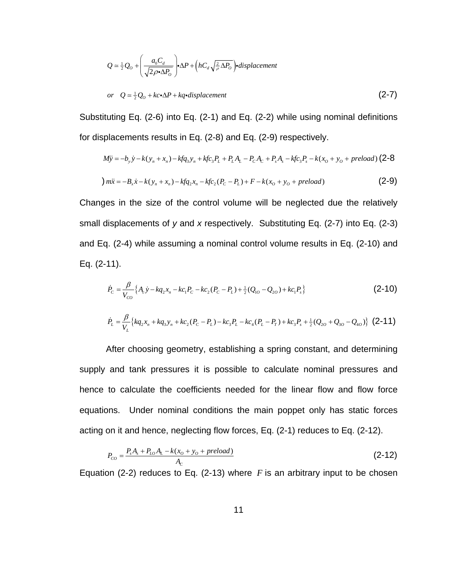$$
Q = \frac{1}{2}Q_o + \left(\frac{a_0C_d}{\sqrt{2\rho \cdot \Delta P_o}}\right) \cdot \Delta P + \left(hC_d \sqrt{\frac{2}{\rho} \Delta P_o}\right) \cdot displacement
$$
  
or 
$$
Q = \frac{1}{2}Q_o + kc \cdot \Delta P + kq \cdot displacement
$$
 (2-7)

Substituting Eq. (2-6) into Eq. (2-1) and Eq. (2-2) while using nominal definitions for displacements results in Eq. (2-8) and Eq. (2-9) respectively.

$$
M\ddot{y} = -b_y \dot{y} - k(y_n + x_n) - kfq_3y_n + kfc_3P_L + P_LA_L - P_CA_C + P_sA_s - kfc_3P_s - k(x_0 + y_0 + preload) (2-8)
$$
  
\n
$$
m\ddot{x} = -B_x\dot{x} - k(y_n + x_n) - kfq_2x_n - kfc_2(P_C - P_L) + F - k(x_0 + y_0 + preload)
$$
 (2-9)

Changes in the size of the control volume will be neglected due the relatively small displacements of *y* and *x* respectively. Substituting Eq. (2-7) into Eq. (2-3) and Eq. (2-4) while assuming a nominal control volume results in Eq. (2-10) and Eq. (2-11).

$$
\dot{P}_c = \frac{\beta}{V_{co}} \{ A_c \dot{y} - k q_2 x_n - k c_1 P_c - k c_2 (P_c - P_L) + \frac{1}{2} (Q_{10} - Q_{20}) + k c_1 P_s \}
$$
(2-10)

$$
\dot{P}_{L} = \frac{\beta}{V_{L}} \left\{ kq_{2}x_{n} + kq_{3}y_{n} + kc_{2}(P_{C} - P_{L}) - kc_{3}P_{L} - kc_{4}(P_{L} - P_{T}) + kc_{3}P_{s} + \frac{1}{2}(Q_{2O} + Q_{3O} - Q_{4O}) \right\}
$$
(2-11)

 After choosing geometry, establishing a spring constant, and determining supply and tank pressures it is possible to calculate nominal pressures and hence to calculate the coefficients needed for the linear flow and flow force equations. Under nominal conditions the main poppet only has static forces acting on it and hence, neglecting flow forces, Eq. (2-1) reduces to Eq. (2-12).

$$
P_{co} = \frac{P_s A_s + P_{Lo} A_L - k(x_o + y_o + preload)}{A_c}
$$
 (2-12)

Equation (2-2) reduces to Eq. (2-13) where  $F$  is an arbitrary input to be chosen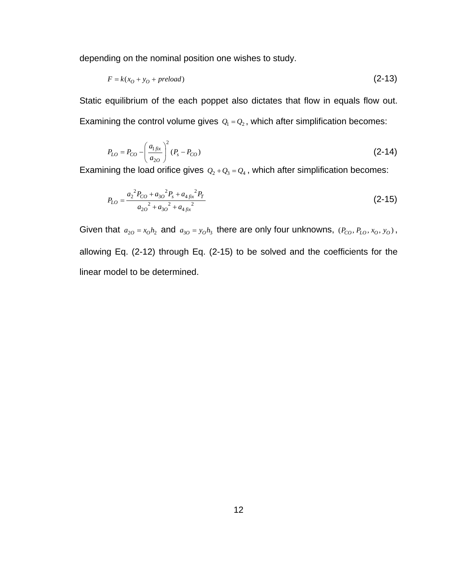depending on the nominal position one wishes to study.

$$
F = k(x_0 + y_0 + preload) \tag{2-13}
$$

Static equilibrium of the each poppet also dictates that flow in equals flow out. Examining the control volume gives  $Q_1 = Q_2$ , which after simplification becomes:

$$
P_{LO} = P_{CO} - \left(\frac{a_{1fix}}{a_{2O}}\right)^2 (P_s - P_{CO})
$$
\n(2-14)

Examining the load orifice gives  $Q_2 + Q_3 = Q_4$ , which after simplification becomes:

$$
P_{LO} = \frac{a_2^2 P_{CO} + a_{3O}^2 P_s + a_{4fix}^2 P_T}{a_{2O}^2 + a_{3O}^2 + a_{4fix}^2}
$$
 (2-15)

Given that  $a_{20} = x_0 h_2$  and  $a_{30} = y_0 h_3$  there are only four unknowns,  $(P_{CO}, P_{LO}, x_0, y_0)$ , allowing Eq. (2-12) through Eq. (2-15) to be solved and the coefficients for the linear model to be determined.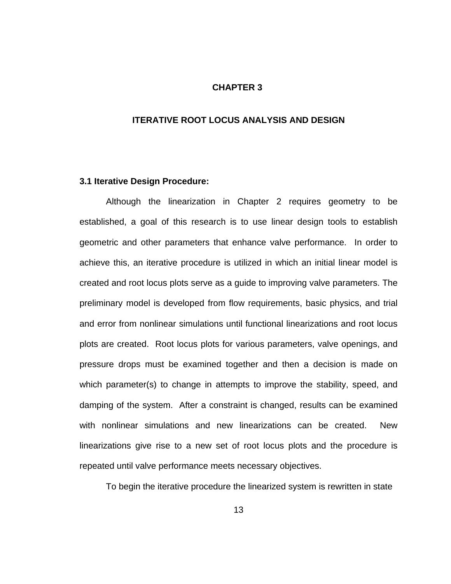#### **CHAPTER 3**

## **ITERATIVE ROOT LOCUS ANALYSIS AND DESIGN**

#### **3.1 Iterative Design Procedure:**

 Although the linearization in Chapter 2 requires geometry to be established, a goal of this research is to use linear design tools to establish geometric and other parameters that enhance valve performance. In order to achieve this, an iterative procedure is utilized in which an initial linear model is created and root locus plots serve as a guide to improving valve parameters. The preliminary model is developed from flow requirements, basic physics, and trial and error from nonlinear simulations until functional linearizations and root locus plots are created. Root locus plots for various parameters, valve openings, and pressure drops must be examined together and then a decision is made on which parameter(s) to change in attempts to improve the stability, speed, and damping of the system. After a constraint is changed, results can be examined with nonlinear simulations and new linearizations can be created. New linearizations give rise to a new set of root locus plots and the procedure is repeated until valve performance meets necessary objectives.

To begin the iterative procedure the linearized system is rewritten in state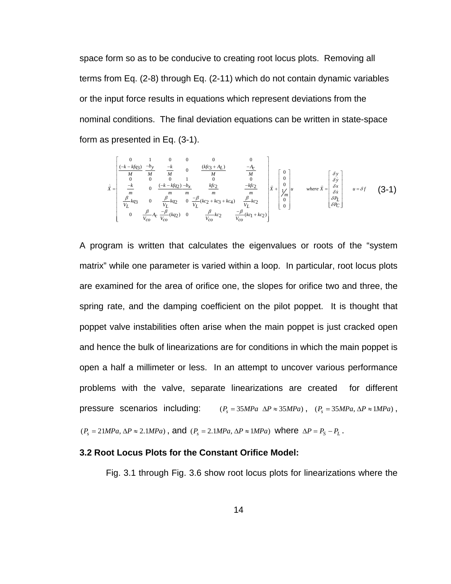space form so as to be conducive to creating root locus plots. Removing all terms from Eq. (2-8) through Eq. (2-11) which do not contain dynamic variables or the input force results in equations which represent deviations from the nominal conditions. The final deviation equations can be written in state-space form as presented in Eq. (3-1).

$$
\dot{\bar{x}} = \begin{bmatrix}\n0 & 1 & 0 & 0 & 0 & 0 & 0 \\
\frac{(-k - kfq_3)}{M} & \frac{-k}{M} & 0 & \frac{(kfq_3 + A_L)}{M} & \frac{-A_C}{M} \\
0 & 0 & 0 & 1 & 0 & 0 & 0 \\
\frac{-k}{m} & 0 & \frac{(-k - kfq_2) - b_x}{m} & \frac{kfq_2}{m} & \frac{-kfq_2}{m} \\
\frac{\beta}{V_L} kq_3 & 0 & \frac{\beta}{V_L} kq_2 & 0 & \frac{-\beta}{V_L} (kq_2 + kq_3 + kq_4) & \frac{\beta}{V_L} kq_2 \\
0 & \frac{\beta}{V_{CO}} A_C & \frac{-\beta}{V_{CO}} (kq_2) & 0 & \frac{\beta}{V_{CO}} kq_2 & \frac{-\beta}{V_{CO}} (kq_1 + kq_2)\n\end{bmatrix} \begin{bmatrix}\n0 \\
0 \\
\frac{\gamma}{M} \\
0 \\
0\n\end{bmatrix} \quad \text{where } \bar{x} = \begin{bmatrix}\n\delta y \\
0 \\
\delta x \\
\delta r \\
0\n\end{bmatrix} \quad u = \delta f \quad (3-1)
$$

pressure scenarios including:  $(P_s = 35MPa \Delta P \approx 35MPa)$ ,  $(P_s = 35MPa, \Delta P \approx 1MPa)$ , A program is written that calculates the eigenvalues or roots of the "system matrix" while one parameter is varied within a loop. In particular, root locus plots are examined for the area of orifice one, the slopes for orifice two and three, the spring rate, and the damping coefficient on the pilot poppet. It is thought that poppet valve instabilities often arise when the main poppet is just cracked open and hence the bulk of linearizations are for conditions in which the main poppet is open a half a millimeter or less. In an attempt to uncover various performance problems with the valve, separate linearizations are created for different  $(P_s = 21 MPa, \Delta P \approx 2.1 MPa)$ , and  $(P_s = 2.1 MPa, \Delta P \approx 1 MPa)$  where  $\Delta P = P_s - P_L$ .

## **3.2 Root Locus Plots for the Constant Orifice Model:**

[Fig. 3.1](#page-26-1) through [Fig. 3.6](#page-28-1) show root locus plots for linearizations where the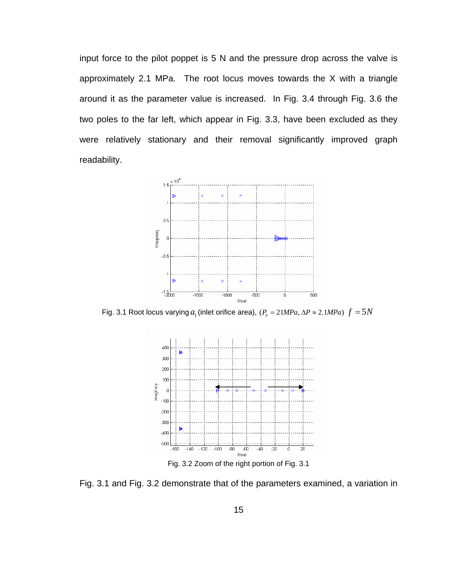<span id="page-26-0"></span>input force to the pilot poppet is 5 N and the pressure drop across the valve is approximately 2.1 MPa. The root locus moves towards the X with a triangle around it as the parameter value is increased. In [Fig. 3.4](#page-27-1) through [Fig. 3.6](#page-28-1) the two poles to the far left, which appear in [Fig. 3.3,](#page-27-2) have been excluded as they were relatively stationary and their removal significantly improved graph readability.



<span id="page-26-1"></span>Fig. 3.1 Root locus varying  $a_1$  (inlet orifice area),  $(P_s = 21 MPa, \Delta P \approx 2.1 MPa)$   $f = 5N$ 



<span id="page-26-2"></span>[Fig. 3.1](#page-26-1) and [Fig. 3.2](#page-26-2) demonstrate that of the parameters examined, a variation in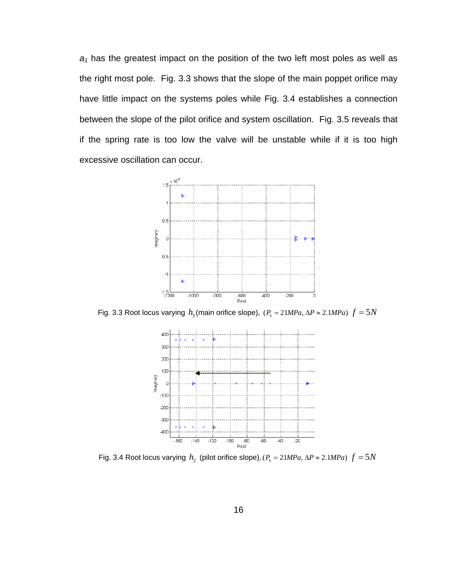<span id="page-27-0"></span> $a_1$  has the greatest impact on the position of the two left most poles as well as the right most pole. [Fig. 3.3](#page-27-2) shows that the slope of the main poppet orifice may have little impact on the systems poles while [Fig. 3.4](#page-27-1) establishes a connection between the slope of the pilot orifice and system oscillation. [Fig. 3.5](#page-28-2) reveals that if the spring rate is too low the valve will be unstable while if it is too high excessive oscillation can occur.



<span id="page-27-2"></span>Fig. 3.3 Root locus varying  $h_3$  (main orifice slope),  $(P_s = 21 MPa, \Delta P \approx 2.1 MPa)$   $f = 5N$ 



<span id="page-27-1"></span>Fig. 3.4 Root locus varying  $h_2$  (pilot orifice slope),  $(P_s = 21 MPa, \Delta P \approx 2.1 MPa)$   $f = 5N$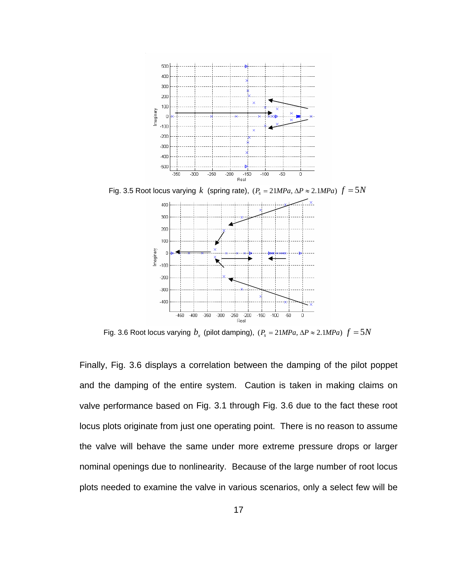<span id="page-28-0"></span>

<span id="page-28-2"></span>Fig. 3.5 Root locus varying *k* (spring rate),  $(P_s = 21 MPa, \Delta P \approx 2.1 MPa) f = 5N$ 



Fig. 3.6 Root locus varying  $b_r$  (pilot damping),  $(P_s = 21 MPa, \Delta P \approx 2.1 MPa) f = 5N$ 

<span id="page-28-1"></span>Finally, [Fig. 3.6](#page-28-1) displays a correlation between the damping of the pilot poppet and the damping of the entire system. Caution is taken in making claims on valve performance based on [Fig. 3.1](#page-26-1) through [Fig. 3.6](#page-28-1) due to the fact these root locus plots originate from just one operating point. There is no reason to assume the valve will behave the same under more extreme pressure drops or larger nominal openings due to nonlinearity. Because of the large number of root locus plots needed to examine the valve in various scenarios, only a select few will be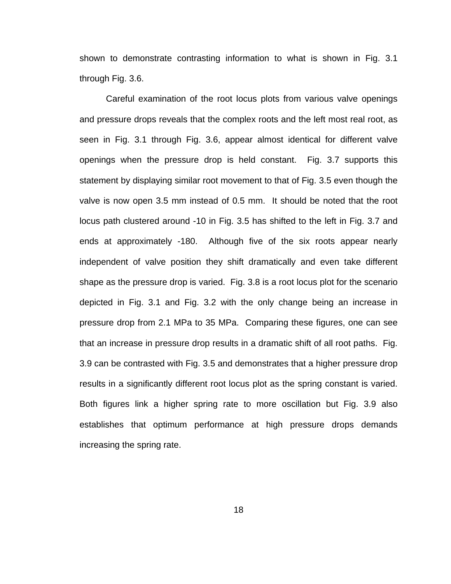shown to demonstrate contrasting information to what is shown in [Fig. 3.1](#page-26-1) through [Fig. 3.6](#page-28-1).

 Careful examination of the root locus plots from various valve openings and pressure drops reveals that the complex roots and the left most real root, as seen in [Fig. 3.1](#page-26-1) through [Fig. 3.6](#page-28-1), appear almost identical for different valve openings when the pressure drop is held constant. [Fig. 3.7](#page-30-1) supports this statement by displaying similar root movement to that of [Fig. 3.5](#page-28-2) even though the valve is now open 3.5 mm instead of 0.5 mm. It should be noted that the root locus path clustered around -10 in [Fig. 3.5](#page-28-2) has shifted to the left in [Fig. 3.7](#page-30-1) and ends at approximately -180. Although five of the six roots appear nearly independent of valve position they shift dramatically and even take different shape as the pressure drop is varied. [Fig. 3.8](#page-30-2) is a root locus plot for the scenario depicted in [Fig. 3.1](#page-26-1) and [Fig. 3.2](#page-26-2) with the only change being an increase in pressure drop from 2.1 MPa to 35 MPa. Comparing these figures, one can see that an increase in pressure drop results in a dramatic shift of all root paths. [Fig.](#page-31-1)  [3.9](#page-31-1) can be contrasted with [Fig. 3.5](#page-28-2) and demonstrates that a higher pressure drop results in a significantly different root locus plot as the spring constant is varied. Both figures link a higher spring rate to more oscillation but [Fig. 3.9](#page-31-1) also establishes that optimum performance at high pressure drops demands increasing the spring rate.

18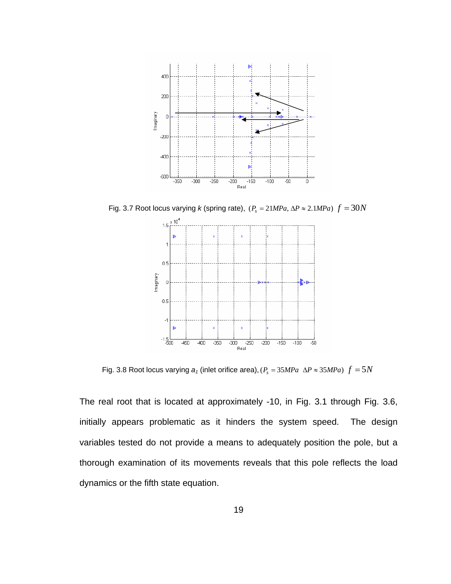<span id="page-30-0"></span>

<span id="page-30-1"></span>Fig. 3.7 Root locus varying *k* (spring rate),  $(P_s = 21 MPa, \Delta P \approx 2.1 MPa) f = 30N$ 



Fig. 3.8 Root locus varying  $a_1$  (inlet orifice area),  $(P_s = 35 MPa \Delta P \approx 35 MPa) f = 5N$ 

<span id="page-30-2"></span>The real root that is located at approximately -10, in [Fig. 3.1](#page-26-1) through [Fig. 3.6,](#page-28-1) initially appears problematic as it hinders the system speed. The design variables tested do not provide a means to adequately position the pole, but a thorough examination of its movements reveals that this pole reflects the load dynamics or the fifth state equation.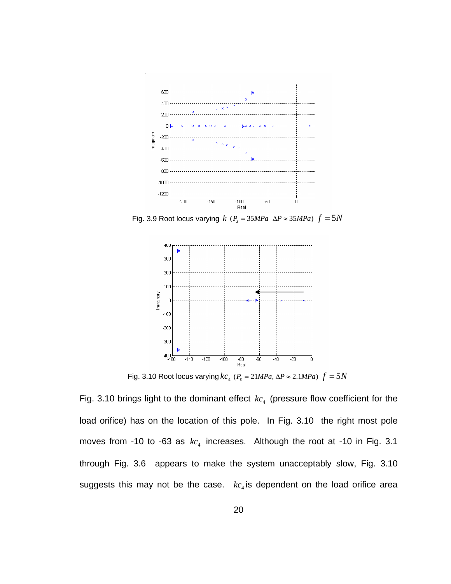<span id="page-31-0"></span>

<span id="page-31-1"></span>Fig. 3.9 Root locus varying  $k$  ( $P_s = 35 MPa$   $\Delta P \approx 35 MPa$ )  $f = 5N$ 



Fig. 3.10 Root locus varying  $k_{C_4}$  ( $P_s = 21 MPa$ ,  $\Delta P \approx 2.1 MPa$ )  $f = 5N$ 

<span id="page-31-2"></span>[Fig. 3.10](#page-31-2) brings light to the dominant effect  $k c_4$  (pressure flow coefficient for the load orifice) has on the location of this pole. In [Fig. 3.10](#page-31-2) the right most pole moves from -10 to -63 as  $kc_4$  increases. Although the root at -10 in [Fig. 3.1](#page-26-1) through [Fig. 3.6](#page-28-1) appears to make the system unacceptably slow, [Fig. 3.10](#page-31-2) suggests this may not be the case.  $kc<sub>4</sub>$  is dependent on the load orifice area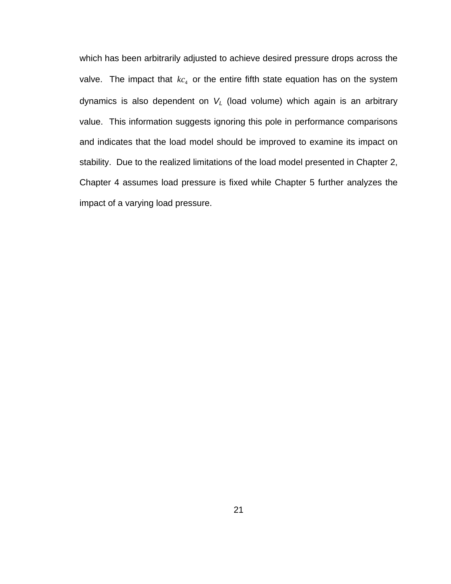which has been arbitrarily adjusted to achieve desired pressure drops across the valve. The impact that  $k c_4$  or the entire fifth state equation has on the system dynamics is also dependent on *V <sup>L</sup>* (load volume) which again is an arbitrary value. This information suggests ignoring this pole in performance comparisons and indicates that the load model should be improved to examine its impact on stability. Due to the realized limitations of the load model presented in Chapter 2, Chapter 4 assumes load pressure is fixed while Chapter 5 further analyzes the impact of a varying load pressure.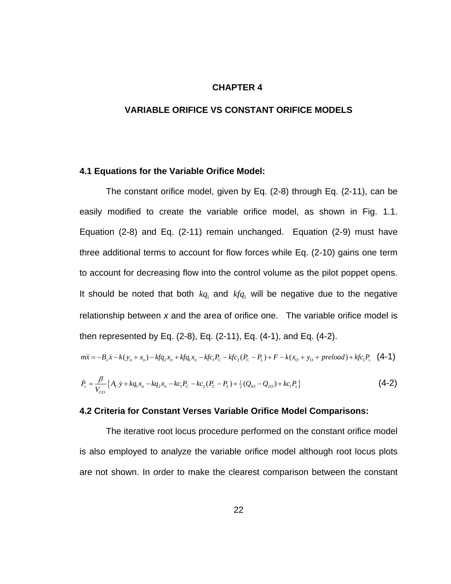#### **CHAPTER 4**

## **VARIABLE ORIFICE VS CONSTANT ORIFICE MODELS**

## **4.1 Equations for the Variable Orifice Model:**

 The constant orifice model, given by Eq. (2-8) through Eq. (2-11), can be easily modified to create the variable orifice model, as shown in [Fig. 1.1.](#page-15-1) Equation (2-8) and Eq. (2-11) remain unchanged. Equation (2-9) must have three additional terms to account for flow forces while Eq. (2-10) gains one term to account for decreasing flow into the control volume as the pilot poppet opens. It should be noted that both  $kq_1$  and  $kfq_1$  will be negative due to the negative relationship between *x* and the area of orifice one. The variable orifice model is then represented by Eq. (2-8), Eq. (2-11), Eq. (4-1), and Eq. (4-2).

$$
m\ddot{x} = -B_x \dot{x} - k(y_n + x_n) - kfq_2x_n + kfq_1x_n - kfc_1P_C - kfc_2(P_C - P_L) + F - k(x_0 + y_0 + preload) + kfc_1P_s \quad (4-1)
$$

$$
\dot{P}_c = \frac{\beta}{V_{co}} \left\{ A_c \dot{y} + k q_1 x_n - k q_2 x_n - k c_1 P_c - k c_2 (P_c - P_L) + \frac{1}{2} (Q_{10} - Q_{20}) + k c_1 P_s \right\}
$$
\n(4-2)

## **4.2 Criteria for Constant Verses Variable Orifice Model Comparisons:**

 The iterative root locus procedure performed on the constant orifice model is also employed to analyze the variable orifice model although root locus plots are not shown. In order to make the clearest comparison between the constant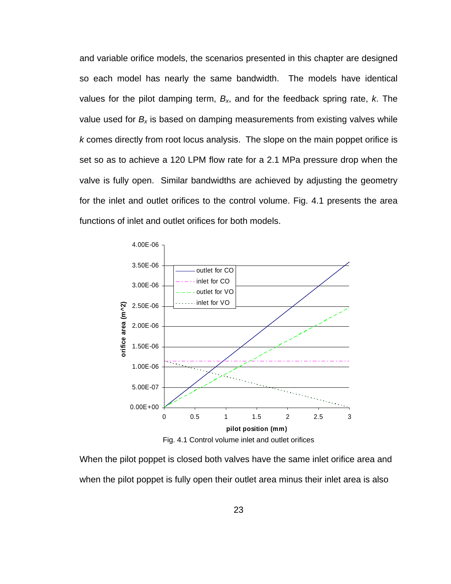<span id="page-34-0"></span>and variable orifice models, the scenarios presented in this chapter are designed so each model has nearly the same bandwidth. The models have identical values for the pilot damping term,  $B_{x}$ , and for the feedback spring rate, k. The value used for  $B_x$  is based on damping measurements from existing valves while *k* comes directly from root locus analysis. The slope on the main poppet orifice is set so as to achieve a 120 LPM flow rate for a 2.1 MPa pressure drop when the valve is fully open. Similar bandwidths are achieved by adjusting the geometry for the inlet and outlet orifices to the control volume. [Fig. 4.1](#page-34-1) presents the area functions of inlet and outlet orifices for both models.



Fig. 4.1 Control volume inlet and outlet orifices

<span id="page-34-1"></span>When the pilot poppet is closed both valves have the same inlet orifice area and when the pilot poppet is fully open their outlet area minus their inlet area is also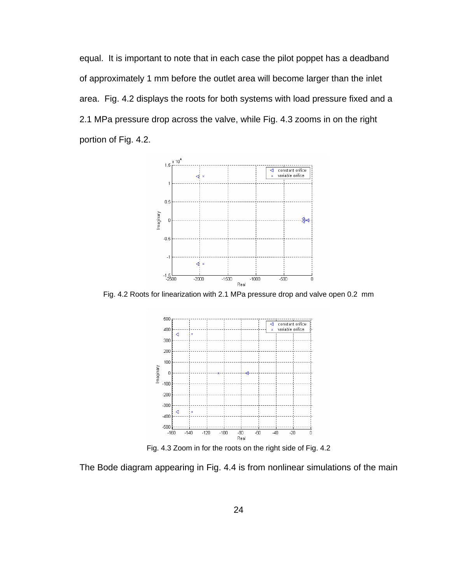<span id="page-35-0"></span>equal. It is important to note that in each case the pilot poppet has a deadband of approximately 1 mm before the outlet area will become larger than the inlet area. [Fig. 4.2](#page-35-1) displays the roots for both systems with load pressure fixed and a 2.1 MPa pressure drop across the valve, while [Fig. 4.3](#page-35-2) zooms in on the right portion of [Fig. 4.2](#page-35-1).



<span id="page-35-1"></span>Fig. 4.2 Roots for linearization with 2.1 MPa pressure drop and valve open 0.2 mm



Fig. 4.3 Zoom in for the roots on the right side of [Fig. 4.2](#page-35-1) 

<span id="page-35-2"></span>The Bode diagram appearing in [Fig. 4.4](#page-36-1) is from nonlinear simulations of the main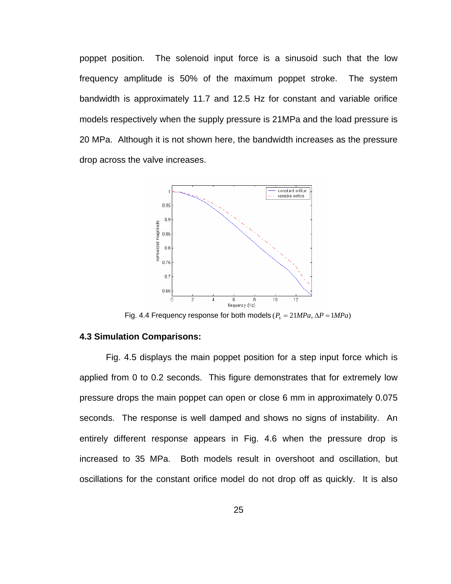poppet position. The solenoid input force is a sinusoid such that the low frequency amplitude is 50% of the maximum poppet stroke. The system bandwidth is approximately 11.7 and 12.5 Hz for constant and variable orifice models respectively when the supply pressure is 21MPa and the load pressure is 20 MPa. Although it is not shown here, the bandwidth increases as the pressure drop across the valve increases.



Fig. 4.4 Frequency response for both models  $(P_s = 21 MPa, \Delta P = 1 MPa)$ 

# **4.3 Simulation Comparisons:**

[Fig. 4.5](#page-37-0) displays the main poppet position for a step input force which is applied from 0 to 0.2 seconds. This figure demonstrates that for extremely low pressure drops the main poppet can open or close 6 mm in approximately 0.075 seconds. The response is well damped and shows no signs of instability. An entirely different response appears in [Fig. 4.6](#page-37-1) when the pressure drop is increased to 35 MPa. Both models result in overshoot and oscillation, but oscillations for the constant orifice model do not drop off as quickly. It is also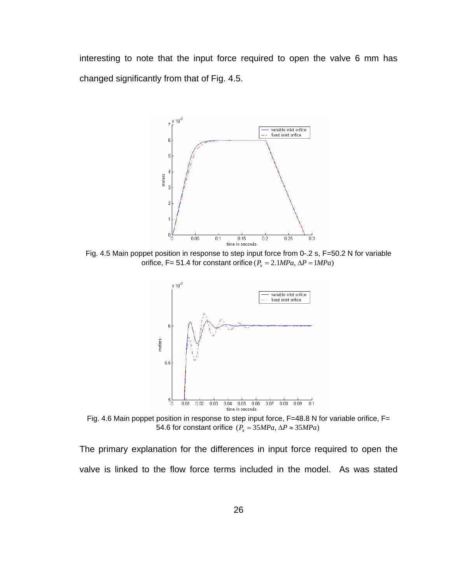interesting to note that the input force required to open the valve 6 mm has changed significantly from that of [Fig. 4.5.](#page-37-0)



<span id="page-37-0"></span>Fig. 4.5 Main poppet position in response to step input force from 0-.2 s, F=50.2 N for variable orifice, F= 51.4 for constant orifice  $(P_s = 2.1 MPa, \Delta P = 1 MPa)$ 



Fig. 4.6 Main poppet position in response to step input force, F=48.8 N for variable orifice, F= 54.6 for constant orifice  $(P_s = 35 MPa, \Delta P \approx 35 MPa)$ 

<span id="page-37-1"></span>The primary explanation for the differences in input force required to open the valve is linked to the flow force terms included in the model. As was stated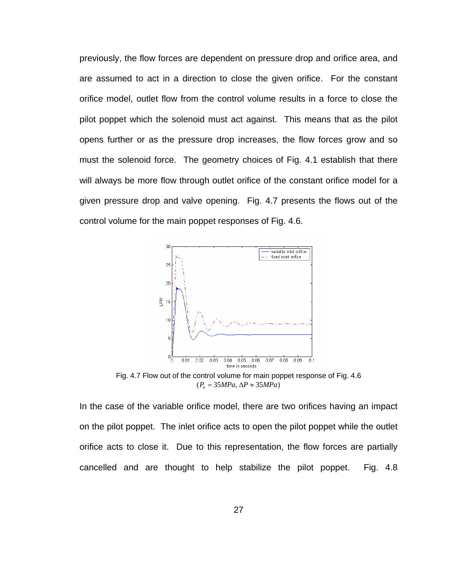previously, the flow forces are dependent on pressure drop and orifice area, and are assumed to act in a direction to close the given orifice. For the constant orifice model, outlet flow from the control volume results in a force to close the pilot poppet which the solenoid must act against. This means that as the pilot opens further or as the pressure drop increases, the flow forces grow and so must the solenoid force. The geometry choices of [Fig. 4.1](#page-34-0) establish that there will always be more flow through outlet orifice of the constant orifice model for a given pressure drop and valve opening. [Fig. 4.7](#page-38-0) presents the flows out of the control volume for the main poppet responses of [Fig. 4.6](#page-37-1).



Fig. 4.7 Flow out of the control volume for main poppet response of [Fig. 4.6](#page-37-1)  $(P_s = 35 MPa, \Delta P \approx 35 MPa)$ 

<span id="page-38-0"></span>In the case of the variable orifice model, there are two orifices having an impact on the pilot poppet. The inlet orifice acts to open the pilot poppet while the outlet orifice acts to close it. Due to this representation, the flow forces are partially cancelled and are thought to help stabilize the pilot poppet. [Fig. 4.8](#page-39-0)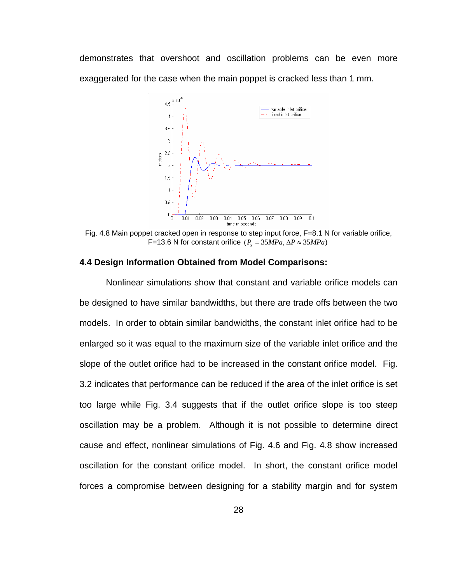demonstrates that overshoot and oscillation problems can be even more exaggerated for the case when the main poppet is cracked less than 1 mm.



<span id="page-39-0"></span>Fig. 4.8 Main poppet cracked open in response to step input force, F=8.1 N for variable orifice, F=13.6 N for constant orifice  $(P_s = 35 MPa, \Delta P \approx 35 MPa)$ 

### **4.4 Design Information Obtained from Model Comparisons:**

 Nonlinear simulations show that constant and variable orifice models can be designed to have similar bandwidths, but there are trade offs between the two models. In order to obtain similar bandwidths, the constant inlet orifice had to be enlarged so it was equal to the maximum size of the variable inlet orifice and the slope of the outlet orifice had to be increased in the constant orifice model. [Fig.](#page-26-0)  [3.2](#page-26-0) indicates that performance can be reduced if the area of the inlet orifice is set too large while [Fig. 3.4](#page-27-0) suggests that if the outlet orifice slope is too steep oscillation may be a problem. Although it is not possible to determine direct cause and effect, nonlinear simulations of [Fig. 4.6](#page-37-1) and [Fig. 4.8](#page-39-0) show increased oscillation for the constant orifice model. In short, the constant orifice model forces a compromise between designing for a stability margin and for system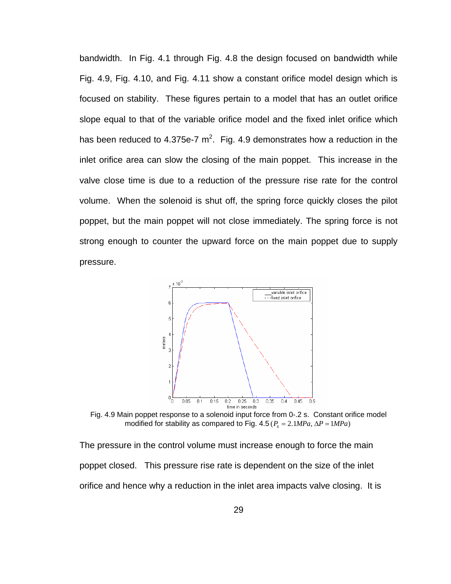bandwidth. In [Fig. 4.1](#page-34-0) through [Fig. 4.8](#page-39-0) the design focused on bandwidth while [Fig. 4.9](#page-40-0), [Fig. 4.10,](#page-41-0) and [Fig. 4.11](#page-42-0) show a constant orifice model design which is focused on stability. These figures pertain to a model that has an outlet orifice slope equal to that of the variable orifice model and the fixed inlet orifice which has been reduced to 4.375e-7  $m^2$ . [Fig. 4.9](#page-40-0) demonstrates how a reduction in the inlet orifice area can slow the closing of the main poppet. This increase in the valve close time is due to a reduction of the pressure rise rate for the control volume. When the solenoid is shut off, the spring force quickly closes the pilot poppet, but the main poppet will not close immediately. The spring force is not strong enough to counter the upward force on the main poppet due to supply pressure.



Fig. 4.9 Main poppet response to a solenoid input force from 0-.2 s. Constant orifice model modified for stability as compared to Fig.  $4.5 (P_s = 2.1 MPa, \Delta P = 1 MPa)$ 

<span id="page-40-0"></span>The pressure in the control volume must increase enough to force the main poppet closed. This pressure rise rate is dependent on the size of the inlet orifice and hence why a reduction in the inlet area impacts valve closing. It is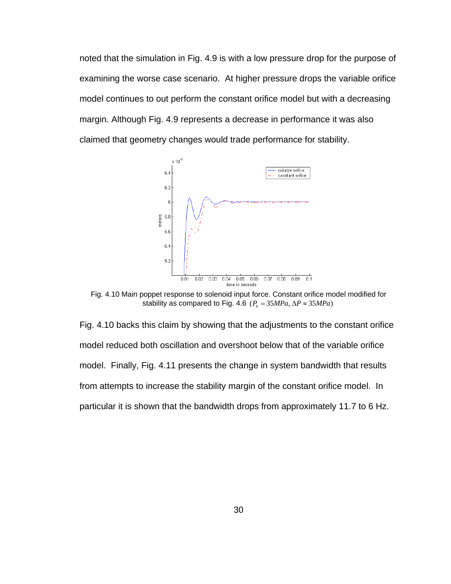noted that the simulation in [Fig. 4.9](#page-40-0) is with a low pressure drop for the purpose of examining the worse case scenario. At higher pressure drops the variable orifice model continues to out perform the constant orifice model but with a decreasing margin. Although [Fig. 4.9](#page-40-0) represents a decrease in performance it was also claimed that geometry changes would trade performance for stability.



Fig. 4.10 Main poppet response to solenoid input force. Constant orifice model modified for stability as compared to [Fig. 4.6](#page-37-1) ( $P_s = 35 MPa$ ,  $\Delta P \approx 35 MPa$ )

<span id="page-41-0"></span>[Fig. 4.10](#page-41-0) backs this claim by showing that the adjustments to the constant orifice model reduced both oscillation and overshoot below that of the variable orifice model. Finally, [Fig. 4.11](#page-42-0) presents the change in system bandwidth that results from attempts to increase the stability margin of the constant orifice model. In particular it is shown that the bandwidth drops from approximately 11.7 to 6 Hz.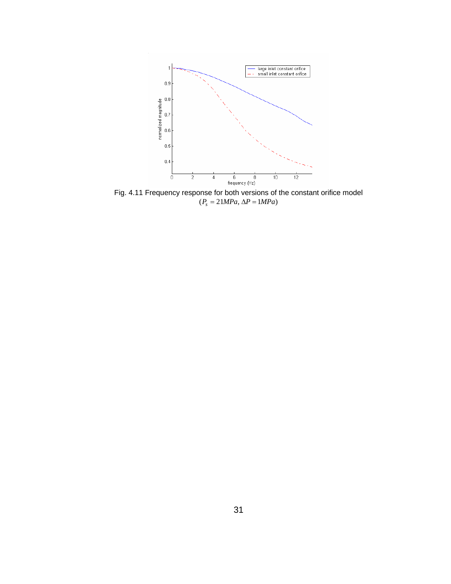

<span id="page-42-0"></span>Fig. 4.11 Frequency response for both versions of the constant orifice model  $(P_s = 21 MPa, \Delta P = 1 MPa)$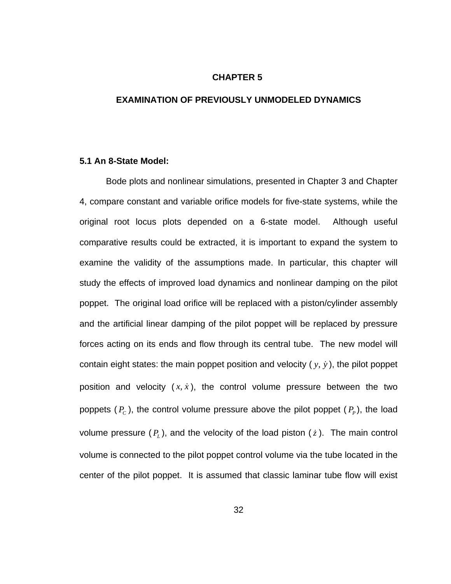# **CHAPTER 5**

### **EXAMINATION OF PREVIOUSLY UNMODELED DYNAMICS**

# **5.1 An 8-State Model:**

 Bode plots and nonlinear simulations, presented in Chapter 3 and Chapter 4, compare constant and variable orifice models for five-state systems, while the original root locus plots depended on a 6-state model. Although useful comparative results could be extracted, it is important to expand the system to examine the validity of the assumptions made. In particular, this chapter will study the effects of improved load dynamics and nonlinear damping on the pilot poppet. The original load orifice will be replaced with a piston/cylinder assembly and the artificial linear damping of the pilot poppet will be replaced by pressure forces acting on its ends and flow through its central tube. The new model will contain eight states: the main poppet position and velocity  $(y, \dot{y})$ , the pilot poppet position and velocity  $(x, \dot{x})$ , the control volume pressure between the two poppets  $(P_c)$ , the control volume pressure above the pilot poppet  $(P_p)$ , the load volume pressure  $(P_L)$ , and the velocity of the load piston  $(z)$ . The main control volume is connected to the pilot poppet control volume via the tube located in the center of the pilot poppet. It is assumed that classic laminar tube flow will exist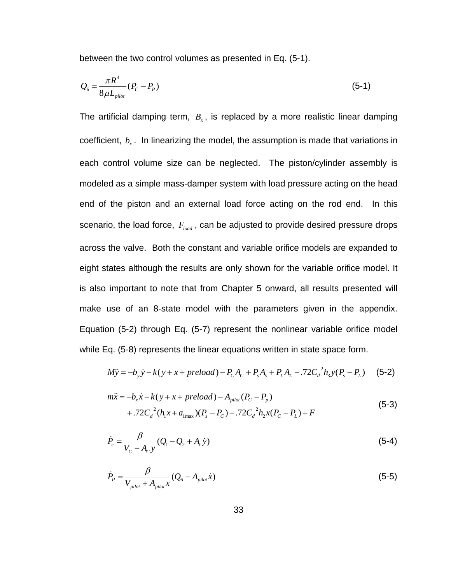between the two control volumes as presented in Eq. (5-1).

$$
Q_6 = \frac{\pi R^4}{8\mu L_{pilot}} (P_C - P_P) \tag{5-1}
$$

The artificial damping term,  $B<sub>x</sub>$ , is replaced by a more realistic linear damping coefficient,  $b_x$ . In linearizing the model, the assumption is made that variations in each control volume size can be neglected. The piston/cylinder assembly is modeled as a simple mass-damper system with load pressure acting on the head end of the piston and an external load force acting on the rod end. In this scenario, the load force,  $F_{\text{load}}$  , can be adjusted to provide desired pressure drops across the valve. Both the constant and variable orifice models are expanded to eight states although the results are only shown for the variable orifice model. It is also important to note that from Chapter 5 onward, all results presented will make use of an 8-state model with the parameters given in the appendix. Equation (5-2) through Eq. (5-7) represent the nonlinear variable orifice model while Eq. (5-8) represents the linear equations written in state space form.

$$
M\ddot{y} = -b_y \dot{y} - k(y + x + preload) - P_c A_c + P_s A_s + P_L A_L - .72 C_d^2 h_3 y (P_s - P_L)
$$
 (5-2)

$$
m\ddot{x} = -b_x \dot{x} - k(y + x + preload) - A_{pilot}(P_c - P_p) + .72C_d^2(h_l x + a_{\text{max}})(P_s - P_c) - .72C_d^2 h_2 x (P_c - P_L) + F
$$
\n(5-3)

$$
\dot{P}_c = \frac{\beta}{V_c - A_c y} (Q_1 - Q_2 + A_c \dot{y})
$$
\n(5-4)

$$
\dot{P}_p = \frac{\beta}{V_{pilot} + A_{pilot} x} (Q_6 - A_{pilot} x)
$$
\n(5-5)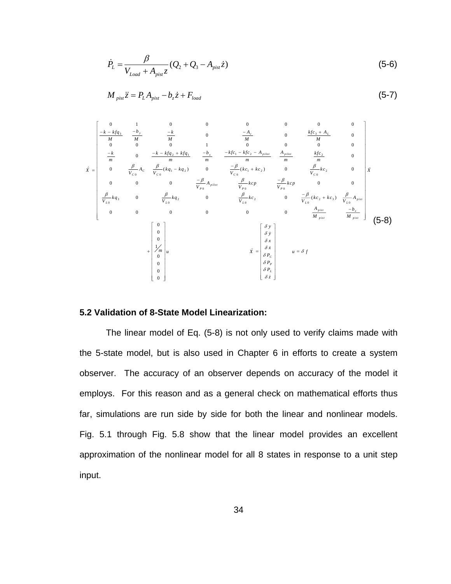$$
\dot{P}_{L} = \frac{\beta}{V_{Load} + A_{pix} z} (Q_2 + Q_3 - A_{pix} z)
$$
\n(5-6)

$$
M_{\text{pist}}\ddot{z} = P_L A_{\text{pist}} - b_z \dot{z} + F_{\text{load}} \tag{5-7}
$$

<span id="page-45-0"></span>
$$
\vec{x} = \begin{bmatrix}\n0 & 1 & 0 & 0 & 0 & 0 & 0 & 0 & 0 & 0 \\
-\frac{k - k f q_3}{M} & \frac{-k}{M} & 0 & \frac{-A_c}{M} & 0 & \frac{k f c_3 + A_L}{M} & 0 \\
0 & 0 & 0 & 1 & 0 & 0 & 0 & 0 \\
-\frac{k}{m} & 0 & -\frac{k - k f q_2 + k f q_1}{m} & -\frac{b_x}{m} & -\frac{k f c_1 - k f c_2 - A_{plot}}{m} & \frac{A_{plot}}{m} & \frac{k f c_2}{m} & 0 \\
0 & \frac{\beta}{V_{CO}} A_C & \frac{\beta}{V_{CO}} (k q_1 - k q_2) & 0 & \frac{-\beta}{V_{CO}} (k c_1 + k c_2) & 0 & \frac{\beta}{V_{CO}} k c_2 & 0 \\
0 & 0 & 0 & \frac{-\beta}{V_{P0}} A_{plot} & \frac{\beta}{V_{P0}} k c p & \frac{-\beta}{V_{P0}} k c p & 0 & 0 \\
\frac{\beta}{V_{L0}} k q_3 & 0 & \frac{\beta}{V_{L0}} k q_2 & 0 & \frac{\beta}{V_{L0}} k c_2 & 0 & \frac{-\beta}{V_{L0}} (k c_2 + k c_3) & \frac{\beta}{V_{L0}} A_{plot} \\
0 & 0 & 0 & 0 & 0 & 0 & \frac{A_{pit}}{M_{pit}} & \frac{-b_z}{M_{pit}} \\
0 & 0 & 0 & 0 & \frac{\beta}{M_{pir}} & \frac{-b_z}{M_{pir}} \\
0 & 0 & 0 & 0 & \frac{\beta}{\delta x} \\
\frac{1}{m} & \mu & \bar{x} & \bar{z} = \begin{bmatrix} \delta y \\ \delta y \\ \delta P_E \\ 0 \\ \delta P_E \end{bmatrix} & u = \delta f\n\end{bmatrix}
$$
\n
$$
(5-8)
$$

# **5.2 Validation of 8-State Model Linearization:**

 The linear model of Eq. (5-8) is not only used to verify claims made with the 5-state model, but is also used in Chapter 6 in efforts to create a system observer. The accuracy of an observer depends on accuracy of the model it employs. For this reason and as a general check on mathematical efforts thus far, simulations are run side by side for both the linear and nonlinear models. [Fig. 5.1](#page-46-0) through [Fig. 5.8](#page-48-0) show that the linear model provides an excellent approximation of the nonlinear model for all 8 states in response to a unit step input.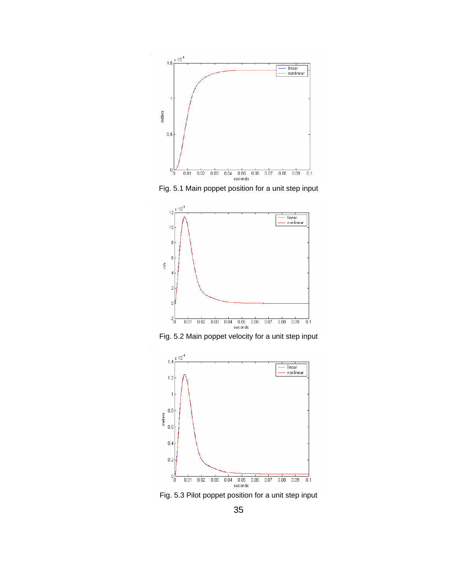

Fig. 5.1 Main poppet position for a unit step input

<span id="page-46-0"></span>

Fig. 5.2 Main poppet velocity for a unit step input



Fig. 5.3 Pilot poppet position for a unit step input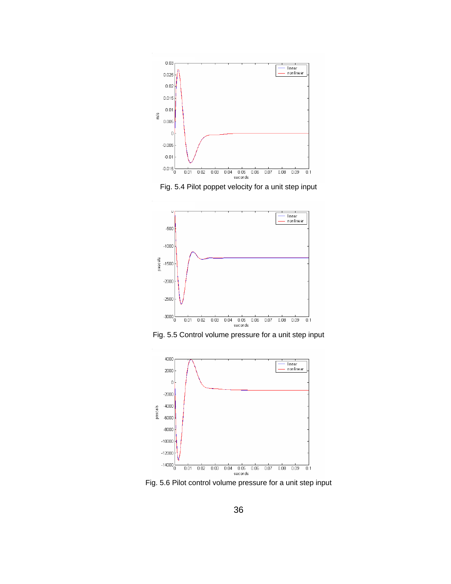

Fig. 5.4 Pilot poppet velocity for a unit step input



Fig. 5.5 Control volume pressure for a unit step input



Fig. 5.6 Pilot control volume pressure for a unit step input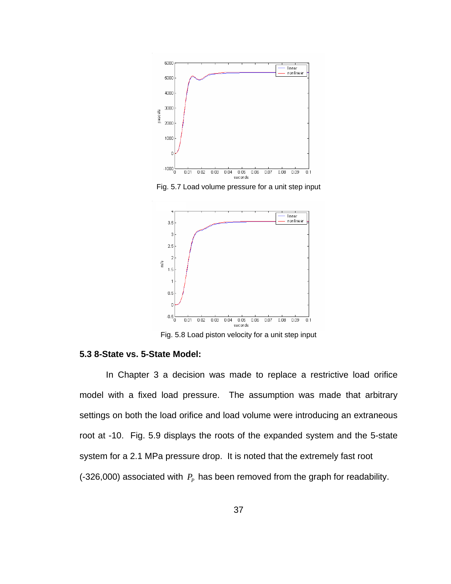

Fig. 5.7 Load volume pressure for a unit step input



Fig. 5.8 Load piston velocity for a unit step input

# <span id="page-48-0"></span>**5.3 8-State vs. 5-State Model:**

 In Chapter 3 a decision was made to replace a restrictive load orifice model with a fixed load pressure. The assumption was made that arbitrary settings on both the load orifice and load volume were introducing an extraneous root at -10. [Fig. 5.9](#page-49-0) displays the roots of the expanded system and the 5-state system for a 2.1 MPa pressure drop. It is noted that the extremely fast root (-326,000) associated with  $P<sub>p</sub>$  has been removed from the graph for readability.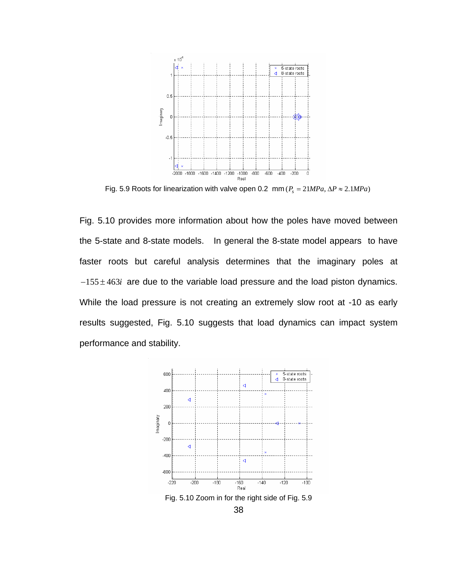

Fig. 5.9 Roots for linearization with valve open 0.2 mm ( $P_s = 21 MPa$ ,  $\Delta P \approx 2.1 MPa$ )

<span id="page-49-0"></span>[Fig. 5.10](#page-49-1) provides more information about how the poles have moved between the 5-state and 8-state models. In general the 8-state model appears to have faster roots but careful analysis determines that the imaginary poles at  $-155 \pm 463i$  are due to the variable load pressure and the load piston dynamics. While the load pressure is not creating an extremely slow root at -10 as early results suggested, [Fig. 5.10](#page-49-1) suggests that load dynamics can impact system performance and stability.

<span id="page-49-1"></span>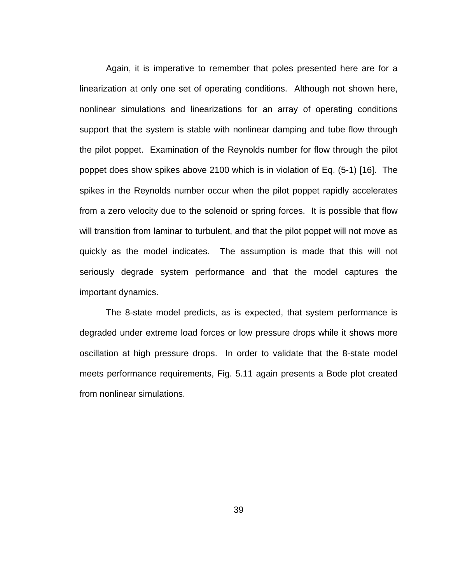Again, it is imperative to remember that poles presented here are for a linearization at only one set of operating conditions. Although not shown here, nonlinear simulations and linearizations for an array of operating conditions support that the system is stable with nonlinear damping and tube flow through the pilot poppet. Examination of the Reynolds number for flow through the pilot poppet does show spikes above 2100 which is in violation of Eq. (5-1) [16]. The spikes in the Reynolds number occur when the pilot poppet rapidly accelerates from a zero velocity due to the solenoid or spring forces. It is possible that flow will transition from laminar to turbulent, and that the pilot poppet will not move as quickly as the model indicates. The assumption is made that this will not seriously degrade system performance and that the model captures the important dynamics.

 The 8-state model predicts, as is expected, that system performance is degraded under extreme load forces or low pressure drops while it shows more oscillation at high pressure drops. In order to validate that the 8-state model meets performance requirements, [Fig. 5.11](#page-51-0) again presents a Bode plot created from nonlinear simulations.

39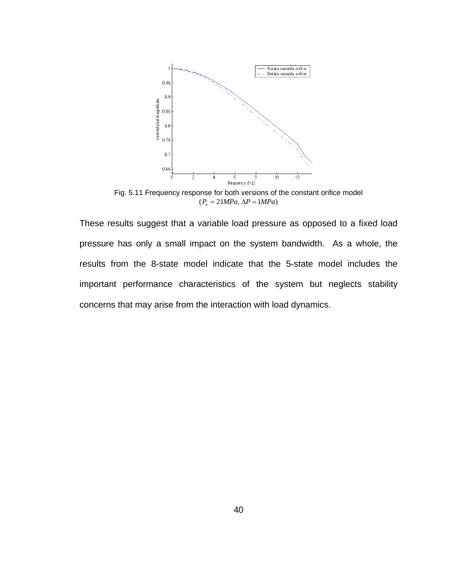

Fig. 5.11 Frequency response for both versions of the constant orifice model  $(P_s = 21 MPa, \Delta P = 1 MPa)$ 

<span id="page-51-0"></span>These results suggest that a variable load pressure as opposed to a fixed load pressure has only a small impact on the system bandwidth. As a whole, the results from the 8-state model indicate that the 5-state model includes the important performance characteristics of the system but neglects stability concerns that may arise from the interaction with load dynamics.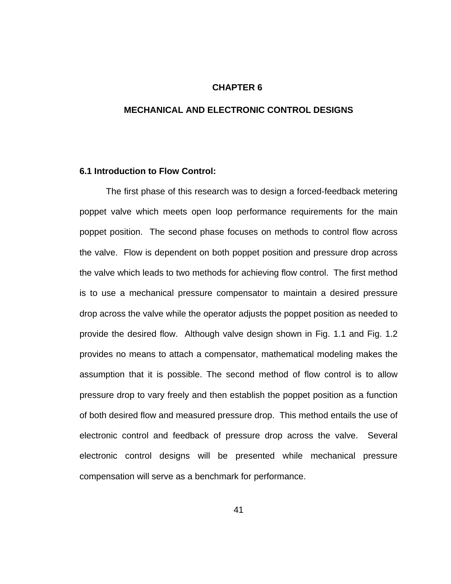### **CHAPTER 6**

# **MECHANICAL AND ELECTRONIC CONTROL DESIGNS**

### **6.1 Introduction to Flow Control:**

 The first phase of this research was to design a forced-feedback metering poppet valve which meets open loop performance requirements for the main poppet position. The second phase focuses on methods to control flow across the valve. Flow is dependent on both poppet position and pressure drop across the valve which leads to two methods for achieving flow control. The first method is to use a mechanical pressure compensator to maintain a desired pressure drop across the valve while the operator adjusts the poppet position as needed to provide the desired flow. Although valve design shown in [Fig. 1.1](#page-15-0) and [Fig. 1.2](#page-17-0) provides no means to attach a compensator, mathematical modeling makes the assumption that it is possible. The second method of flow control is to allow pressure drop to vary freely and then establish the poppet position as a function of both desired flow and measured pressure drop. This method entails the use of electronic control and feedback of pressure drop across the valve. Several electronic control designs will be presented while mechanical pressure compensation will serve as a benchmark for performance.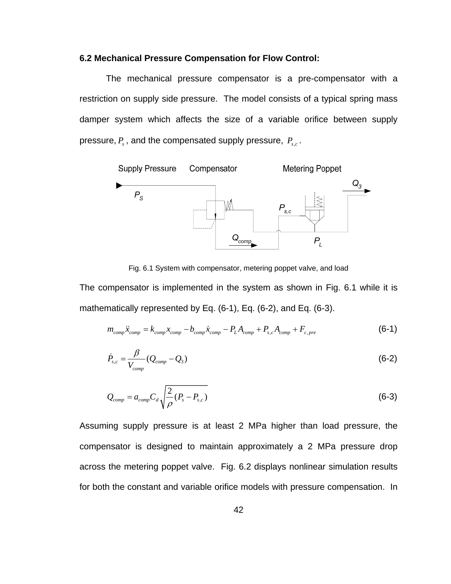# **6.2 Mechanical Pressure Compensation for Flow Control:**

 The mechanical pressure compensator is a pre-compensator with a restriction on supply side pressure. The model consists of a typical spring mass damper system which affects the size of a variable orifice between supply pressure,  $P_s$ , and the compensated supply pressure,  $P_{s,c}$ .



Fig. 6.1 System with compensator, metering poppet valve, and load

<span id="page-53-0"></span>The compensator is implemented in the system as shown in [Fig. 6.1](#page-53-0) while it is mathematically represented by Eq. (6-1), Eq. (6-2), and Eq. (6-3).

$$
m_{comp}\ddot{x}_{comp} = k_{comp}x_{comp} - b_{comp}\dot{x}_{comp} - P_L A_{comp} + P_{s,c}A_{comp} + F_{c,pre}
$$
(6-1)

$$
\dot{P}_{s,c} = \frac{\beta}{V_{comp}} (Q_{comp} - Q_3)
$$
\n(6-2)

$$
Q_{comp} = a_{comp} C_d \sqrt{\frac{2}{\rho} (P_s - P_{s,c})}
$$
\n(6-3)

Assuming supply pressure is at least 2 MPa higher than load pressure, the compensator is designed to maintain approximately a 2 MPa pressure drop across the metering poppet valve. [Fig. 6.2](#page-54-0) displays nonlinear simulation results for both the constant and variable orifice models with pressure compensation. In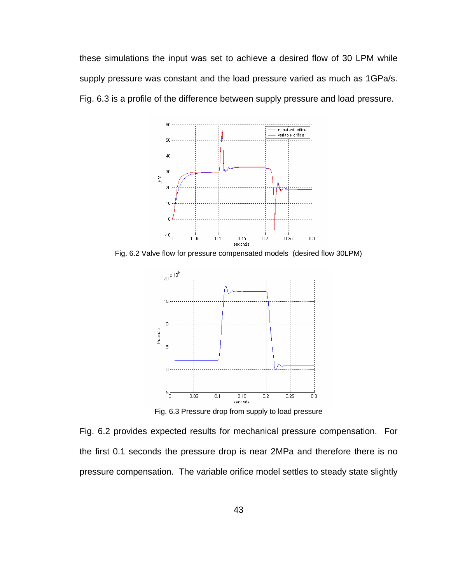these simulations the input was set to achieve a desired flow of 30 LPM while supply pressure was constant and the load pressure varied as much as 1GPa/s. [Fig. 6.3](#page-54-1) is a profile of the difference between supply pressure and load pressure.



<span id="page-54-0"></span>Fig. 6.2 Valve flow for pressure compensated models (desired flow 30LPM)



Fig. 6.3 Pressure drop from supply to load pressure

<span id="page-54-1"></span>[Fig. 6.2](#page-54-0) provides expected results for mechanical pressure compensation. For the first 0.1 seconds the pressure drop is near 2MPa and therefore there is no pressure compensation. The variable orifice model settles to steady state slightly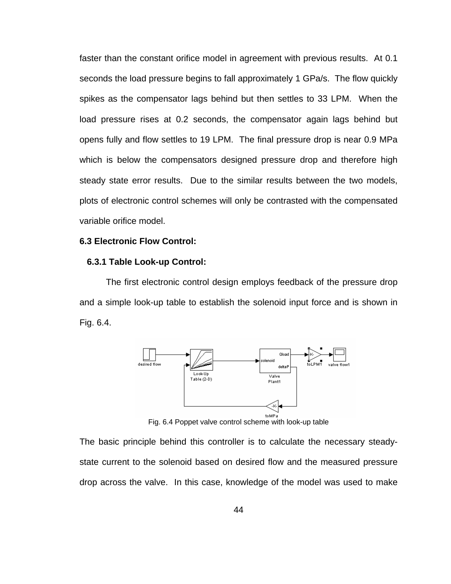faster than the constant orifice model in agreement with previous results. At 0.1 seconds the load pressure begins to fall approximately 1 GPa/s. The flow quickly spikes as the compensator lags behind but then settles to 33 LPM. When the load pressure rises at 0.2 seconds, the compensator again lags behind but opens fully and flow settles to 19 LPM. The final pressure drop is near 0.9 MPa which is below the compensators designed pressure drop and therefore high steady state error results. Due to the similar results between the two models, plots of electronic control schemes will only be contrasted with the compensated variable orifice model.

# **6.3 Electronic Flow Control:**

### **6.3.1 Table Look-up Control:**

 The first electronic control design employs feedback of the pressure drop and a simple look-up table to establish the solenoid input force and is shown in [Fig. 6.4](#page-55-0).



Fig. 6.4 Poppet valve control scheme with look-up table

<span id="page-55-0"></span>The basic principle behind this controller is to calculate the necessary steadystate current to the solenoid based on desired flow and the measured pressure drop across the valve. In this case, knowledge of the model was used to make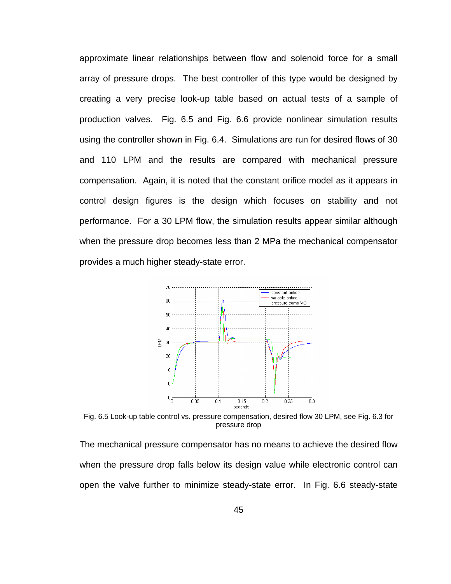approximate linear relationships between flow and solenoid force for a small array of pressure drops. The best controller of this type would be designed by creating a very precise look-up table based on actual tests of a sample of production valves. [Fig. 6.5](#page-56-0) and [Fig. 6.6](#page-57-0) provide nonlinear simulation results using the controller shown in [Fig. 6.4](#page-55-0). Simulations are run for desired flows of 30 and 110 LPM and the results are compared with mechanical pressure compensation. Again, it is noted that the constant orifice model as it appears in control design figures is the design which focuses on stability and not performance. For a 30 LPM flow, the simulation results appear similar although when the pressure drop becomes less than 2 MPa the mechanical compensator provides a much higher steady-state error.



<span id="page-56-0"></span>Fig. 6.5 Look-up table control vs. pressure compensation, desired flow 30 LPM, see [Fig. 6.3](#page-54-1) for pressure drop

The mechanical pressure compensator has no means to achieve the desired flow when the pressure drop falls below its design value while electronic control can open the valve further to minimize steady-state error. In [Fig. 6.6](#page-57-0) steady-state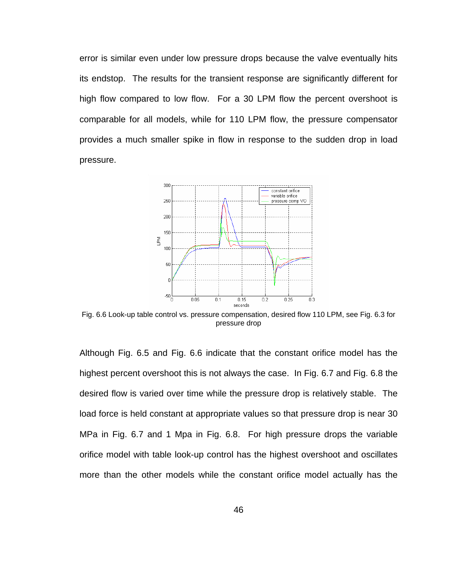error is similar even under low pressure drops because the valve eventually hits its endstop. The results for the transient response are significantly different for high flow compared to low flow. For a 30 LPM flow the percent overshoot is comparable for all models, while for 110 LPM flow, the pressure compensator provides a much smaller spike in flow in response to the sudden drop in load pressure.



<span id="page-57-0"></span>Fig. 6.6 Look-up table control vs. pressure compensation, desired flow 110 LPM, see [Fig. 6.3](#page-54-1) for pressure drop

Although [Fig. 6.5](#page-56-0) and [Fig. 6.6](#page-57-0) indicate that the constant orifice model has the highest percent overshoot this is not always the case. In [Fig. 6.7](#page-58-0) and [Fig. 6.8](#page-58-1) the desired flow is varied over time while the pressure drop is relatively stable. The load force is held constant at appropriate values so that pressure drop is near 30 MPa in [Fig. 6.7](#page-58-0) and 1 Mpa in [Fig. 6.8.](#page-58-1) For high pressure drops the variable orifice model with table look-up control has the highest overshoot and oscillates more than the other models while the constant orifice model actually has the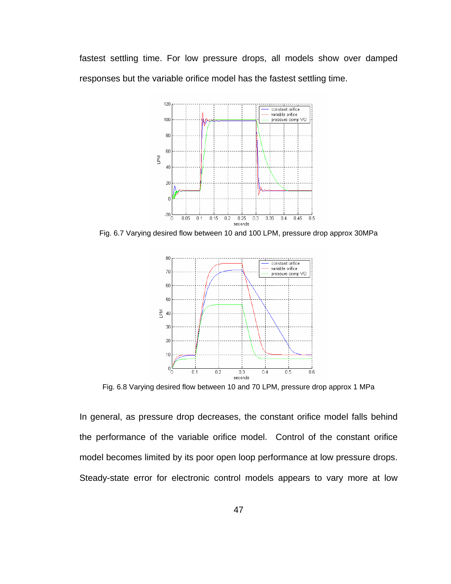fastest settling time. For low pressure drops, all models show over damped responses but the variable orifice model has the fastest settling time.



<span id="page-58-0"></span>Fig. 6.7 Varying desired flow between 10 and 100 LPM, pressure drop approx 30MPa



Fig. 6.8 Varying desired flow between 10 and 70 LPM, pressure drop approx 1 MPa

<span id="page-58-1"></span>In general, as pressure drop decreases, the constant orifice model falls behind the performance of the variable orifice model. Control of the constant orifice model becomes limited by its poor open loop performance at low pressure drops. Steady-state error for electronic control models appears to vary more at low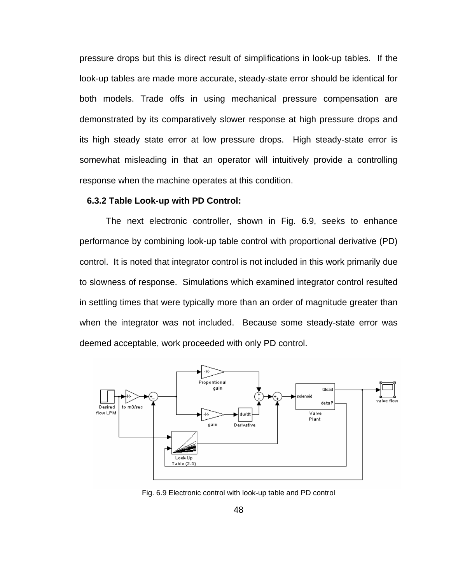pressure drops but this is direct result of simplifications in look-up tables. If the look-up tables are made more accurate, steady-state error should be identical for both models. Trade offs in using mechanical pressure compensation are demonstrated by its comparatively slower response at high pressure drops and its high steady state error at low pressure drops. High steady-state error is somewhat misleading in that an operator will intuitively provide a controlling response when the machine operates at this condition.

### **6.3.2 Table Look-up with PD Control:**

 The next electronic controller, shown in [Fig. 6.9](#page-59-0), seeks to enhance performance by combining look-up table control with proportional derivative (PD) control. It is noted that integrator control is not included in this work primarily due to slowness of response. Simulations which examined integrator control resulted in settling times that were typically more than an order of magnitude greater than when the integrator was not included. Because some steady-state error was deemed acceptable, work proceeded with only PD control.



<span id="page-59-0"></span>Fig. 6.9 Electronic control with look-up table and PD control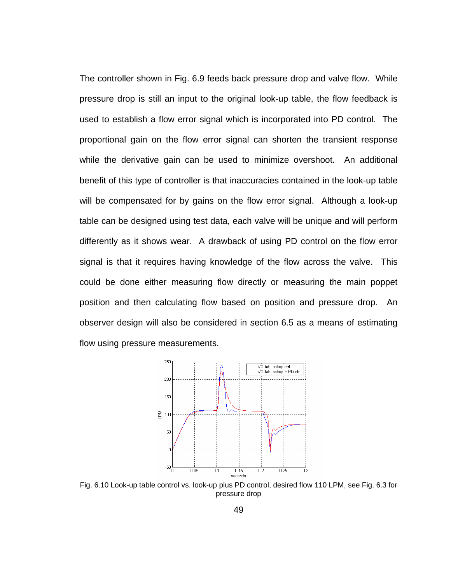The controller shown in [Fig. 6.9](#page-59-0) feeds back pressure drop and valve flow. While pressure drop is still an input to the original look-up table, the flow feedback is used to establish a flow error signal which is incorporated into PD control. The proportional gain on the flow error signal can shorten the transient response while the derivative gain can be used to minimize overshoot. An additional benefit of this type of controller is that inaccuracies contained in the look-up table will be compensated for by gains on the flow error signal. Although a look-up table can be designed using test data, each valve will be unique and will perform differently as it shows wear. A drawback of using PD control on the flow error signal is that it requires having knowledge of the flow across the valve. This could be done either measuring flow directly or measuring the main poppet position and then calculating flow based on position and pressure drop. An observer design will also be considered in section 6.5 as a means of estimating flow using pressure measurements.



<span id="page-60-0"></span>Fig. 6.10 Look-up table control vs. look-up plus PD control, desired flow 110 LPM, see [Fig. 6.3](#page-54-1) for pressure drop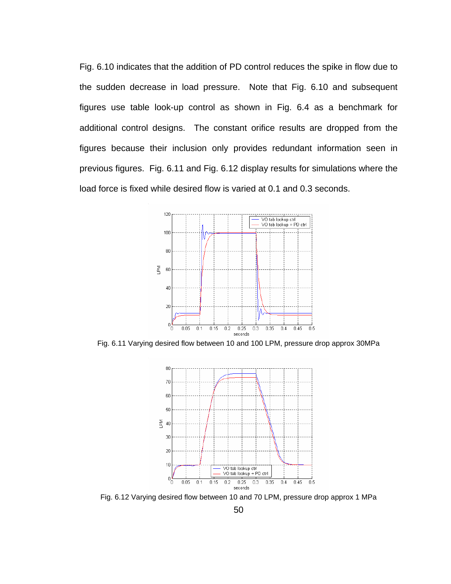[Fig. 6.10](#page-60-0) indicates that the addition of PD control reduces the spike in flow due to the sudden decrease in load pressure. Note that [Fig. 6.10](#page-60-0) and subsequent figures use table look-up control as shown in [Fig. 6.4](#page-55-0) as a benchmark for additional control designs. The constant orifice results are dropped from the figures because their inclusion only provides redundant information seen in previous figures. [Fig. 6.11](#page-61-0) and [Fig. 6.12](#page-61-1) display results for simulations where the load force is fixed while desired flow is varied at 0.1 and 0.3 seconds.



<span id="page-61-0"></span>Fig. 6.11 Varying desired flow between 10 and 100 LPM, pressure drop approx 30MPa



<span id="page-61-1"></span>Fig. 6.12 Varying desired flow between 10 and 70 LPM, pressure drop approx 1 MPa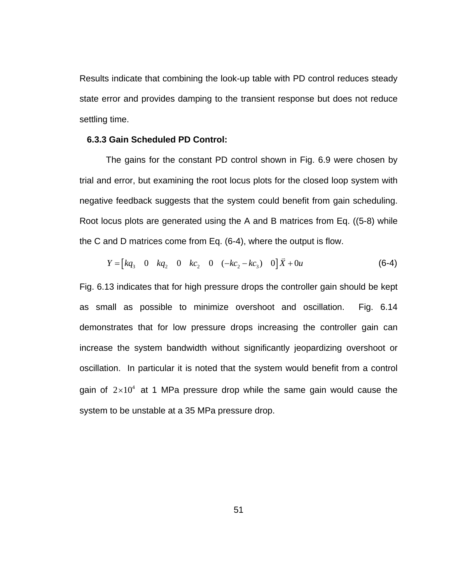Results indicate that combining the look-up table with PD control reduces steady state error and provides damping to the transient response but does not reduce settling time.

### **6.3.3 Gain Scheduled PD Control:**

 The gains for the constant PD control shown in [Fig. 6.9](#page-59-0) were chosen by trial and error, but examining the root locus plots for the closed loop system with negative feedback suggests that the system could benefit from gain scheduling. Root locus plots are generated using the A and B matrices from Eq. [\(\(5-8\)](#page-45-0) while the C and D matrices come from Eq. (6-4), where the output is flow.

$$
Y = [kq_3 \quad 0 \quad kq_2 \quad 0 \quad kq_2 \quad 0 \quad (-kc_2 - kc_3) \quad 0] \quad \bar{X} + 0u \tag{6-4}
$$

[Fig. 6.13](#page-63-0) indicates that for high pressure drops the controller gain should be kept as small as possible to minimize overshoot and oscillation. [Fig. 6.14](#page-63-1) demonstrates that for low pressure drops increasing the controller gain can increase the system bandwidth without significantly jeopardizing overshoot or oscillation. In particular it is noted that the system would benefit from a control gain of  $2\times10^4$  at 1 MPa pressure drop while the same gain would cause the system to be unstable at a 35 MPa pressure drop.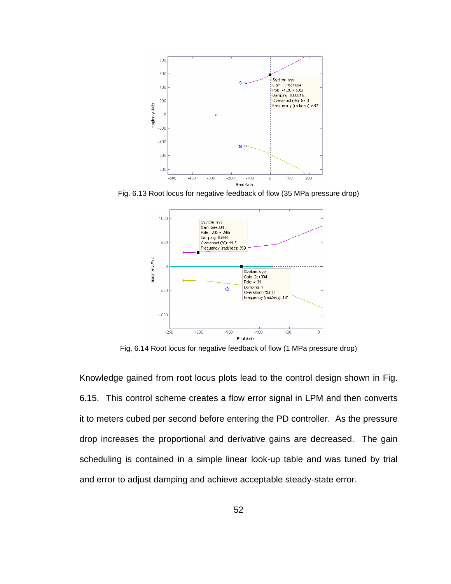

<span id="page-63-0"></span>Fig. 6.13 Root locus for negative feedback of flow (35 MPa pressure drop)



Fig. 6.14 Root locus for negative feedback of flow (1 MPa pressure drop)

<span id="page-63-1"></span>Knowledge gained from root locus plots lead to the control design shown in [Fig.](#page-64-0)  [6.15](#page-64-0). This control scheme creates a flow error signal in LPM and then converts it to meters cubed per second before entering the PD controller. As the pressure drop increases the proportional and derivative gains are decreased. The gain scheduling is contained in a simple linear look-up table and was tuned by trial and error to adjust damping and achieve acceptable steady-state error.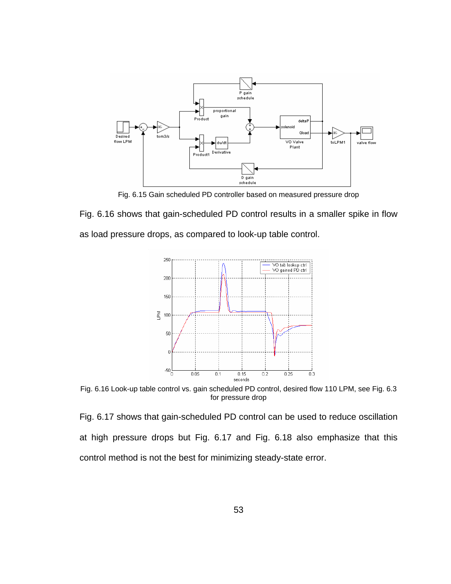

Fig. 6.15 Gain scheduled PD controller based on measured pressure drop

<span id="page-64-0"></span>[Fig. 6.16](#page-64-1) shows that gain-scheduled PD control results in a smaller spike in flow as load pressure drops, as compared to look-up table control.



<span id="page-64-1"></span>Fig. 6.16 Look-up table control vs. gain scheduled PD control, desired flow 110 LPM, see [Fig. 6.3](#page-54-1) for pressure drop

[Fig. 6.17](#page-65-0) shows that gain-scheduled PD control can be used to reduce oscillation at high pressure drops but [Fig. 6.17](#page-65-0) and [Fig. 6.18](#page-65-1) also emphasize that this control method is not the best for minimizing steady-state error.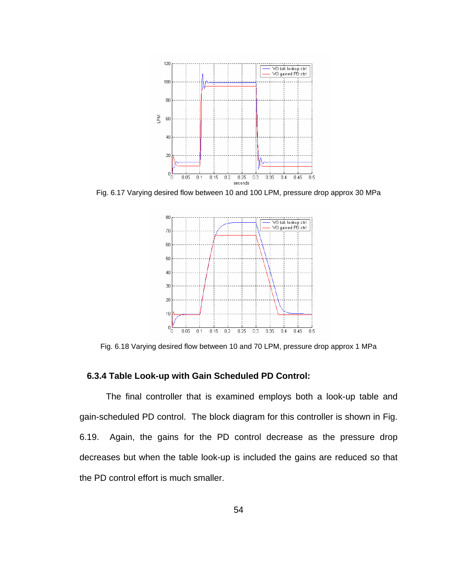

<span id="page-65-0"></span>Fig. 6.17 Varying desired flow between 10 and 100 LPM, pressure drop approx 30 MPa



Fig. 6.18 Varying desired flow between 10 and 70 LPM, pressure drop approx 1 MPa

# <span id="page-65-1"></span> **6.3.4 Table Look-up with Gain Scheduled PD Control:**

 The final controller that is examined employs both a look-up table and gain-scheduled PD control. The block diagram for this controller is shown in [Fig.](#page-66-0)  [6.19](#page-66-0). Again, the gains for the PD control decrease as the pressure drop decreases but when the table look-up is included the gains are reduced so that the PD control effort is much smaller.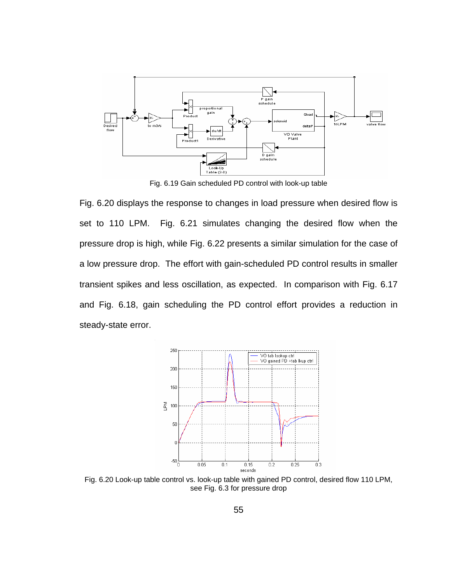

Fig. 6.19 Gain scheduled PD control with look-up table

<span id="page-66-0"></span>[Fig. 6.20](#page-66-1) displays the response to changes in load pressure when desired flow is set to 110 LPM. [Fig. 6.21](#page-67-0) simulates changing the desired flow when the pressure drop is high, while [Fig. 6.22](#page-67-1) presents a similar simulation for the case of a low pressure drop. The effort with gain-scheduled PD control results in smaller transient spikes and less oscillation, as expected. In comparison with [Fig. 6.17](#page-65-0) and [Fig. 6.18](#page-65-1), gain scheduling the PD control effort provides a reduction in steady-state error.



<span id="page-66-1"></span>Fig. 6.20 Look-up table control vs. look-up table with gained PD control, desired flow 110 LPM, see [Fig. 6.3](#page-54-1) for pressure drop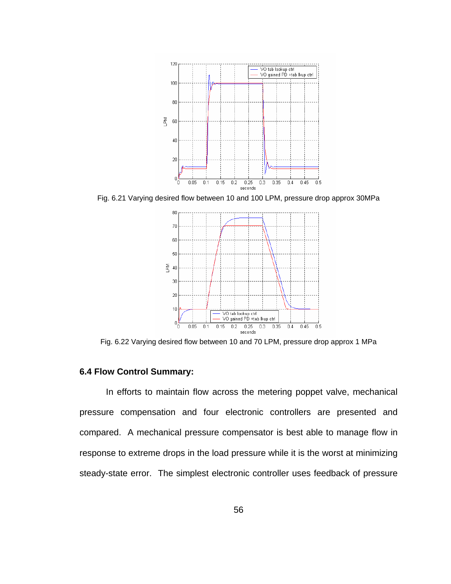

<span id="page-67-0"></span>Fig. 6.21 Varying desired flow between 10 and 100 LPM, pressure drop approx 30MPa



Fig. 6.22 Varying desired flow between 10 and 70 LPM, pressure drop approx 1 MPa

# <span id="page-67-1"></span>**6.4 Flow Control Summary:**

 In efforts to maintain flow across the metering poppet valve, mechanical pressure compensation and four electronic controllers are presented and compared. A mechanical pressure compensator is best able to manage flow in response to extreme drops in the load pressure while it is the worst at minimizing steady-state error. The simplest electronic controller uses feedback of pressure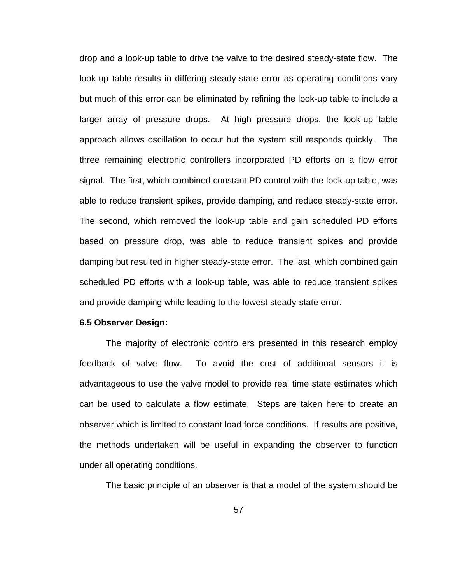drop and a look-up table to drive the valve to the desired steady-state flow. The look-up table results in differing steady-state error as operating conditions vary but much of this error can be eliminated by refining the look-up table to include a larger array of pressure drops. At high pressure drops, the look-up table approach allows oscillation to occur but the system still responds quickly. The three remaining electronic controllers incorporated PD efforts on a flow error signal. The first, which combined constant PD control with the look-up table, was able to reduce transient spikes, provide damping, and reduce steady-state error. The second, which removed the look-up table and gain scheduled PD efforts based on pressure drop, was able to reduce transient spikes and provide damping but resulted in higher steady-state error. The last, which combined gain scheduled PD efforts with a look-up table, was able to reduce transient spikes and provide damping while leading to the lowest steady-state error.

#### **6.5 Observer Design:**

 The majority of electronic controllers presented in this research employ feedback of valve flow. To avoid the cost of additional sensors it is advantageous to use the valve model to provide real time state estimates which can be used to calculate a flow estimate. Steps are taken here to create an observer which is limited to constant load force conditions. If results are positive, the methods undertaken will be useful in expanding the observer to function under all operating conditions.

The basic principle of an observer is that a model of the system should be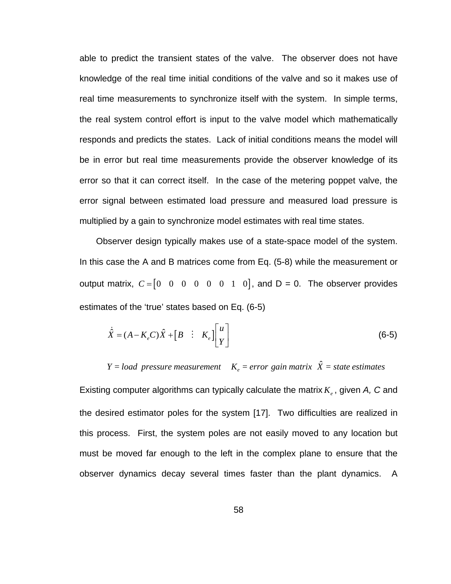able to predict the transient states of the valve. The observer does not have knowledge of the real time initial conditions of the valve and so it makes use of real time measurements to synchronize itself with the system. In simple terms, the real system control effort is input to the valve model which mathematically responds and predicts the states. Lack of initial conditions means the model will be in error but real time measurements provide the observer knowledge of its error so that it can correct itself. In the case of the metering poppet valve, the error signal between estimated load pressure and measured load pressure is multiplied by a gain to synchronize model estimates with real time states.

Observer design typically makes use of a state-space model of the system. In this case the A and B matrices come from Eq. (5-8) while the measurement or output matrix,  $C = \begin{bmatrix} 0 & 0 & 0 & 0 & 0 & 1 & 0 \end{bmatrix}$ , and  $D = 0$ . The observer provides estimates of the 'true' states based on Eq. (6-5)

$$
\dot{\hat{X}} = (A - K_e C)\hat{X} + \begin{bmatrix} B & \vdots & K_e \end{bmatrix} \begin{bmatrix} u \\ Y \end{bmatrix} \tag{6-5}
$$

 $Y = load$  pressure measurement  $K_e = error$  gain matrix  $\hat{X} = state$  estimates

Existing computer algorithms can typically calculate the matrix  $K_{\scriptscriptstyle e}$ , given A, C and the desired estimator poles for the system [17]. Two difficulties are realized in this process. First, the system poles are not easily moved to any location but must be moved far enough to the left in the complex plane to ensure that the observer dynamics decay several times faster than the plant dynamics. A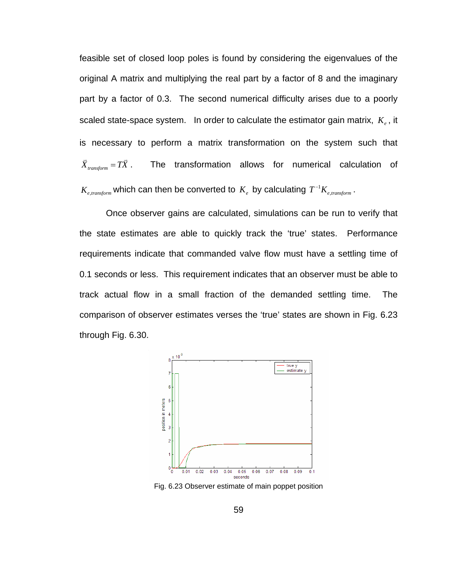feasible set of closed loop poles is found by considering the eigenvalues of the original A matrix and multiplying the real part by a factor of 8 and the imaginary part by a factor of 0.3. The second numerical difficulty arises due to a poorly scaled state-space system. In order to calculate the estimator gain matrix,  $K_{e}$ , it is necessary to perform a matrix transformation on the system such that  $\overline{X}_{transform} = T\overline{X}$ . The transformation allows for numerical calculation of  $K_{e, transform}$  which can then be converted to  $K_e$  by calculating  $T^{-1}K_{e, transform}$ .

 Once observer gains are calculated, simulations can be run to verify that the state estimates are able to quickly track the 'true' states. Performance requirements indicate that commanded valve flow must have a settling time of 0.1 seconds or less. This requirement indicates that an observer must be able to track actual flow in a small fraction of the demanded settling time. The comparison of observer estimates verses the 'true' states are shown in [Fig. 6.23](#page-70-0) through [Fig. 6.30.](#page-73-0)



<span id="page-70-0"></span>Fig. 6.23 Observer estimate of main poppet position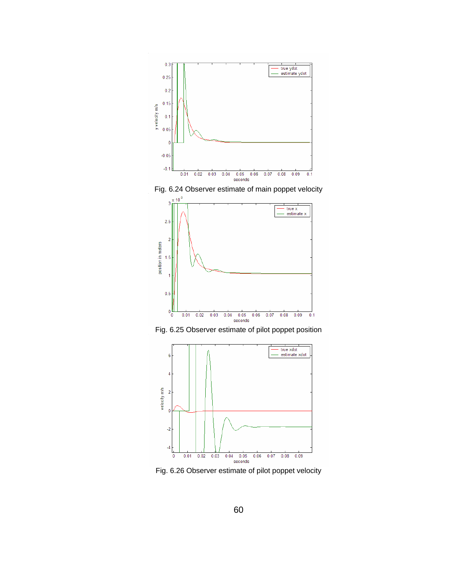







Fig. 6.26 Observer estimate of pilot poppet velocity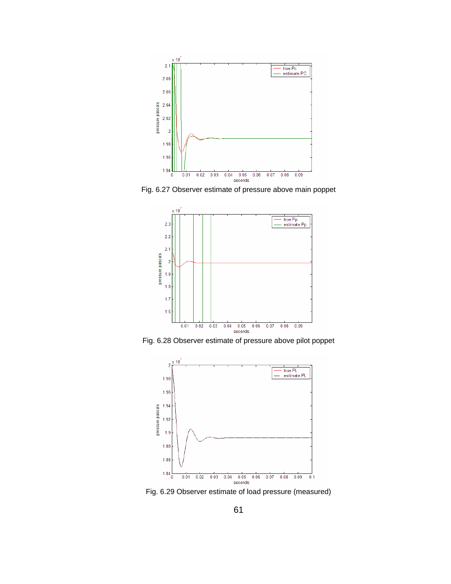

Fig. 6.27 Observer estimate of pressure above main poppet



Fig. 6.28 Observer estimate of pressure above pilot poppet



Fig. 6.29 Observer estimate of load pressure (measured)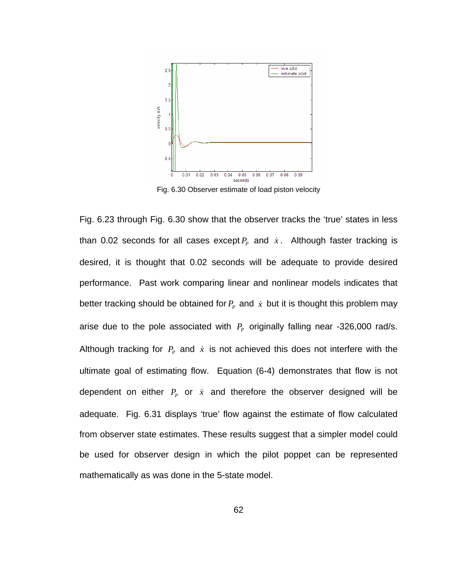

Fig. 6.30 Observer estimate of load piston velocity

<span id="page-73-0"></span>[Fig. 6.23](#page-70-0) through [Fig. 6.30](#page-73-0) show that the observer tracks the 'true' states in less than 0.02 seconds for all cases except  $P_p$  and  $\dot{x}$ . Although faster tracking is desired, it is thought that 0.02 seconds will be adequate to provide desired performance. Past work comparing linear and nonlinear models indicates that better tracking should be obtained for  $P_p$  and  $\dot{x}$  but it is thought this problem may arise due to the pole associated with  $P_p$  originally falling near -326,000 rad/s. Although tracking for  $P_p$  and  $\dot{x}$  is not achieved this does not interfere with the ultimate goal of estimating flow. Equation (6-4) demonstrates that flow is not dependent on either  $P_p$  or  $\dot{x}$  and therefore the observer designed will be adequate. [Fig. 6.31](#page-74-0) displays 'true' flow against the estimate of flow calculated from observer state estimates. These results suggest that a simpler model could be used for observer design in which the pilot poppet can be represented mathematically as was done in the 5-state model.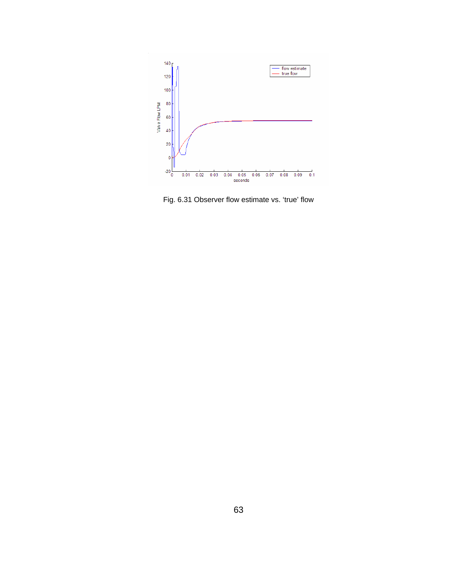

<span id="page-74-0"></span>Fig. 6.31 Observer flow estimate vs. 'true' flow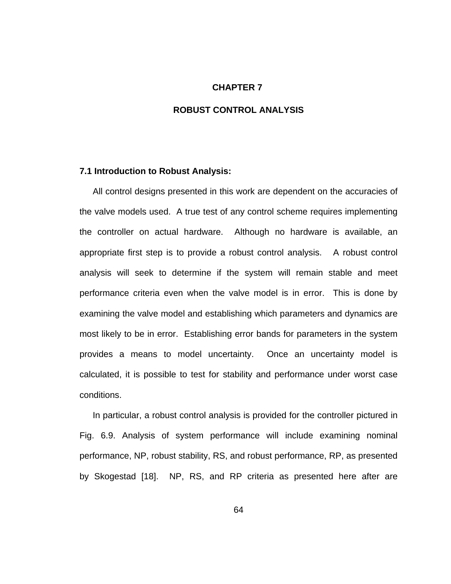#### **CHAPTER 7**

### **ROBUST CONTROL ANALYSIS**

#### **7.1 Introduction to Robust Analysis:**

All control designs presented in this work are dependent on the accuracies of the valve models used. A true test of any control scheme requires implementing the controller on actual hardware. Although no hardware is available, an appropriate first step is to provide a robust control analysis. A robust control analysis will seek to determine if the system will remain stable and meet performance criteria even when the valve model is in error. This is done by examining the valve model and establishing which parameters and dynamics are most likely to be in error. Establishing error bands for parameters in the system provides a means to model uncertainty. Once an uncertainty model is calculated, it is possible to test for stability and performance under worst case conditions.

In particular, a robust control analysis is provided for the controller pictured in [Fig. 6.9.](#page-59-0) Analysis of system performance will include examining nominal performance, NP, robust stability, RS, and robust performance, RP, as presented by Skogestad [18]. NP, RS, and RP criteria as presented here after are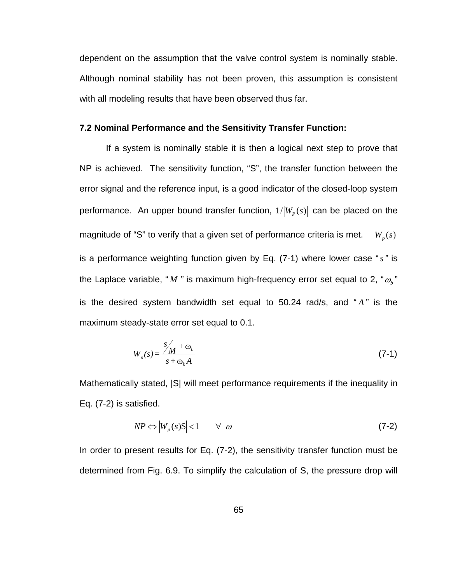dependent on the assumption that the valve control system is nominally stable. Although nominal stability has not been proven, this assumption is consistent with all modeling results that have been observed thus far.

## **7.2 Nominal Performance and the Sensitivity Transfer Function:**

 If a system is nominally stable it is then a logical next step to prove that NP is achieved. The sensitivity function, "S", the transfer function between the error signal and the reference input, is a good indicator of the closed-loop system performance. An upper bound transfer function,  $1/|W_p(s)|$  can be placed on the magnitude of "S" to verify that a given set of performance criteria is met. is a performance weighting function given by Eq. (7-1) where lower case "*s"* is the Laplace variable, " *M "* is maximum high-frequency error set equal to 2, "<sup>ω</sup>*<sup>b</sup>* "  $W_{n}(s)$ is the desired system bandwidth set equal to 50.24 rad/s, and " *A"* is the maximum steady-state error set equal to 0.1.

$$
W_p(s) = \frac{s'_{\mathcal{M}} + \omega_b}{s + \omega_b A} \tag{7-1}
$$

Mathematically stated, |S| will meet performance requirements if the inequality in Eq. (7-2) is satisfied.

$$
NP \Leftrightarrow \left|W_p(s)S\right| < 1 \qquad \forall \ \omega \tag{7-2}
$$

In order to present results for Eq. (7-2), the sensitivity transfer function must be determined from [Fig. 6.9.](#page-59-0) To simplify the calculation of S, the pressure drop will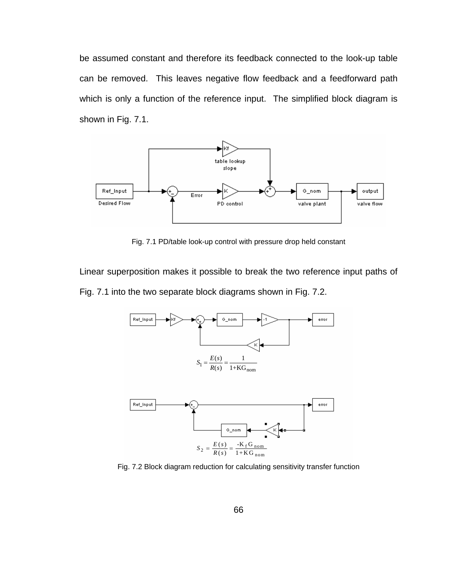be assumed constant and therefore its feedback connected to the look-up table can be removed. This leaves negative flow feedback and a feedforward path which is only a function of the reference input. The simplified block diagram is shown in [Fig. 7.1.](#page-77-0)



Fig. 7.1 PD/table look-up control with pressure drop held constant

<span id="page-77-0"></span>Linear superposition makes it possible to break the two reference input paths of [Fig. 7.1](#page-77-0) into the two separate block diagrams shown in [Fig. 7.2.](#page-77-1)



<span id="page-77-1"></span>Fig. 7.2 Block diagram reduction for calculating sensitivity transfer function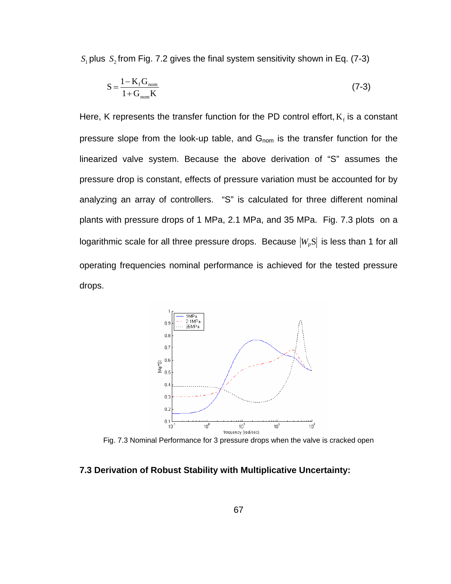$S_1$  plus  $S_2$  from [Fig. 7.2](#page-77-1) gives the final system sensitivity shown in Eq. (7-3)

$$
S = \frac{1 - K_f G_{nom}}{1 + G_{nom} K}
$$
 (7-3)

Here, K represents the transfer function for the PD control effort,  $K_f$  is a constant pressure slope from the look-up table, and G<sub>nom</sub> is the transfer function for the linearized valve system. Because the above derivation of "S" assumes the pressure drop is constant, effects of pressure variation must be accounted for by analyzing an array of controllers. "S" is calculated for three different nominal plants with pressure drops of 1 MPa, 2.1 MPa, and 35 MPa. [Fig. 7.3](#page-78-0) plots on a logarithmic scale for all three pressure drops. Because  $|W_pS|$  is less than 1 for all operating frequencies nominal performance is achieved for the tested pressure drops.



Fig. 7.3 Nominal Performance for 3 pressure drops when the valve is cracked open

## <span id="page-78-0"></span>**7.3 Derivation of Robust Stability with Multiplicative Uncertainty:**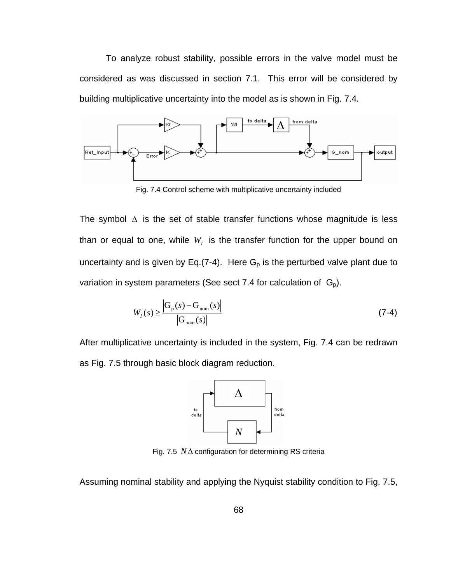To analyze robust stability, possible errors in the valve model must be considered as was discussed in section 7.1. This error will be considered by building multiplicative uncertainty into the model as is shown in [Fig. 7.4](#page-79-0).



Fig. 7.4 Control scheme with multiplicative uncertainty included

<span id="page-79-0"></span>The symbol  $\Delta$  is the set of stable transfer functions whose magnitude is less than or equal to one, while  $W_{I}$  is the transfer function for the upper bound on uncertainty and is given by Eq.(7-4). Here  $G_p$  is the perturbed valve plant due to variation in system parameters (See sect 7.4 for calculation of  $G_p$ ).

$$
W_{I}(s) \ge \frac{\left| G_{p}(s) - G_{nom}(s) \right|}{\left| G_{nom}(s) \right|} \tag{7-4}
$$

After multiplicative uncertainty is included in the system, [Fig. 7.4](#page-79-0) can be redrawn as [Fig. 7.5](#page-79-1) through basic block diagram reduction.



Fig. 7.5 *N*Δ configuration for determining RS criteria

<span id="page-79-1"></span>Assuming nominal stability and applying the Nyquist stability condition to [Fig. 7.5,](#page-79-1)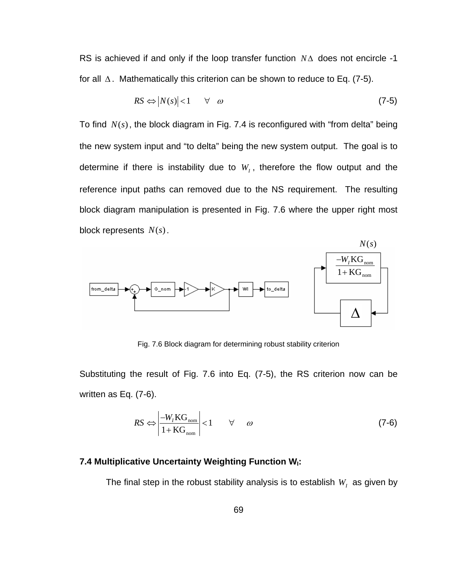RS is achieved if and only if the loop transfer function *N*Δ does not encircle -1 for all  $\Delta$ . Mathematically this criterion can be shown to reduce to Eq. (7-5).

$$
RS \Leftrightarrow |N(s)| < 1 \quad \forall \quad \omega \tag{7-5}
$$

To find  $N(s)$ , the block diagram in [Fig. 7.4](#page-79-0) is reconfigured with "from delta" being the new system input and "to delta" being the new system output. The goal is to determine if there is instability due to  $W<sub>I</sub>$ , therefore the flow output and the reference input paths can removed due to the NS requirement. The resulting block diagram manipulation is presented in [Fig. 7.6](#page-80-0) where the upper right most block represents  $N(s)$ .



Fig. 7.6 Block diagram for determining robust stability criterion

<span id="page-80-0"></span>Substituting the result of [Fig. 7.6](#page-80-0) into Eq. (7-5), the RS criterion now can be written as Eq. (7-6).

$$
RS \Leftrightarrow \left| \frac{-W_{I}KG_{\text{nom}}}{1+KG_{\text{nom}}} \right| < 1 \qquad \forall \qquad \omega \tag{7-6}
$$

# **7.4 Multiplicative Uncertainty Weighting Function W<sub>I</sub>:**

The final step in the robust stability analysis is to establish  $W<sub>1</sub>$  as given by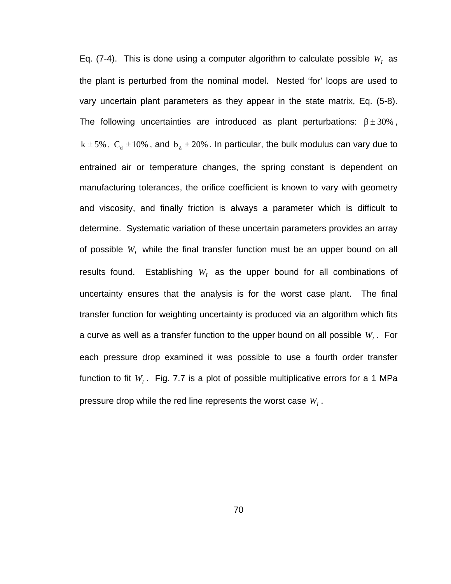Eq. (7-4). This is done using a computer algorithm to calculate possible  $W_I$  as the plant is perturbed from the nominal model. Nested 'for' loops are used to vary uncertain plant parameters as they appear in the state matrix, Eq. (5-8). The following uncertainties are introduced as plant perturbations:  $\beta \pm 30\%$ ,  $k \pm 5$ %,  $C_d \pm 10$ %, and  $b_z \pm 20$ %. In particular, the bulk modulus can vary due to entrained air or temperature changes, the spring constant is dependent on manufacturing tolerances, the orifice coefficient is known to vary with geometry and viscosity, and finally friction is always a parameter which is difficult to determine. Systematic variation of these uncertain parameters provides an array of possible  $W_I$  while the final transfer function must be an upper bound on all results found. Establishing  $W_I$  as the upper bound for all combinations of uncertainty ensures that the analysis is for the worst case plant. The final transfer function for weighting uncertainty is produced via an algorithm which fits a curve as well as a transfer function to the upper bound on all possible  $W_{I}$  . For each pressure drop examined it was possible to use a fourth order transfer function to fit  $W_{I}$ . [Fig. 7.7](#page-82-0) is a plot of possible multiplicative errors for a 1 MPa pressure drop while the red line represents the worst case  $W<sub>i</sub>$ .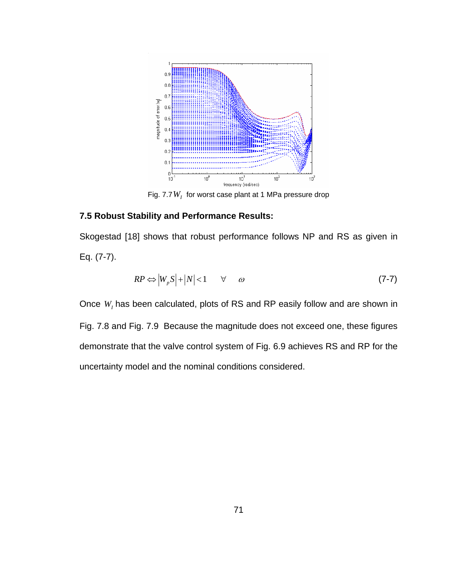

Fig. 7.7  $W<sub>I</sub>$  for worst case plant at 1 MPa pressure drop

# <span id="page-82-0"></span>**7.5 Robust Stability and Performance Results:**

Skogestad [18] shows that robust performance follows NP and RS as given in Eq. (7-7).

$$
RP \Leftrightarrow \left|W_p S\right| + \left|N\right| < 1 \qquad \forall \qquad \omega \tag{7-7}
$$

Once  $W<sub>i</sub>$  has been calculated, plots of RS and RP easily follow and are shown in [Fig. 7.8](#page-83-0) and [Fig. 7.9](#page-83-1) Because the magnitude does not exceed one, these figures demonstrate that the valve control system of [Fig. 6.9](#page-59-0) achieves RS and RP for the uncertainty model and the nominal conditions considered.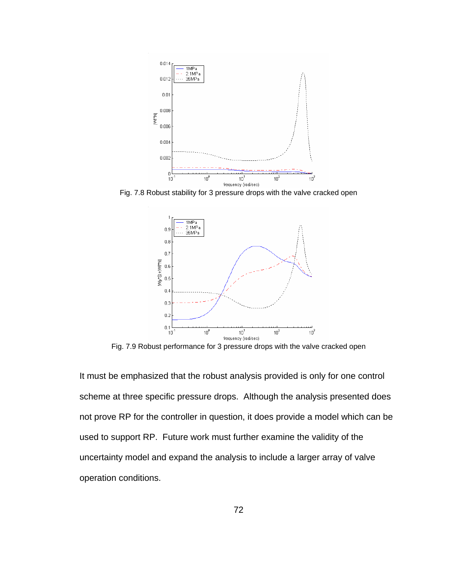

<span id="page-83-0"></span>Fig. 7.8 Robust stability for 3 pressure drops with the valve cracked open



Fig. 7.9 Robust performance for 3 pressure drops with the valve cracked open

<span id="page-83-1"></span>It must be emphasized that the robust analysis provided is only for one control scheme at three specific pressure drops. Although the analysis presented does not prove RP for the controller in question, it does provide a model which can be used to support RP. Future work must further examine the validity of the uncertainty model and expand the analysis to include a larger array of valve operation conditions.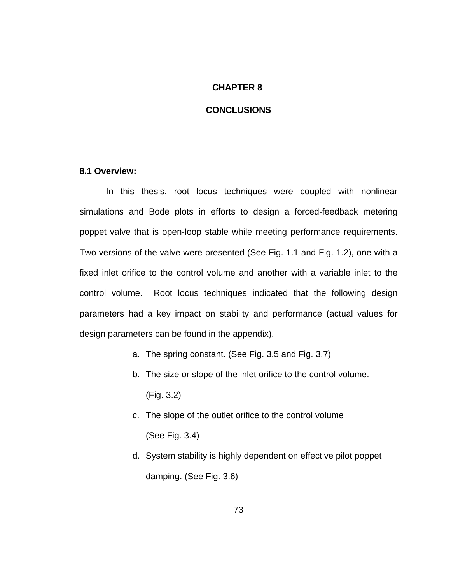#### **CHAPTER 8**

## **CONCLUSIONS**

## **8.1 Overview:**

 In this thesis, root locus techniques were coupled with nonlinear simulations and Bode plots in efforts to design a forced-feedback metering poppet valve that is open-loop stable while meeting performance requirements. Two versions of the valve were presented (See [Fig. 1.1](#page-15-0) and [Fig. 1.2](#page-17-0)), one with a fixed inlet orifice to the control volume and another with a variable inlet to the control volume. Root locus techniques indicated that the following design parameters had a key impact on stability and performance (actual values for design parameters can be found in the appendix).

- a. The spring constant. (See [Fig. 3.5](#page-28-0) and [Fig. 3.7](#page-30-0))
- b. The size or slope of the inlet orifice to the control volume. ([Fig. 3.2](#page-26-0))
- c. The slope of the outlet orifice to the control volume (See [Fig. 3.4\)](#page-27-0)
- d. System stability is highly dependent on effective pilot poppet damping. (See [Fig. 3.6](#page-28-1))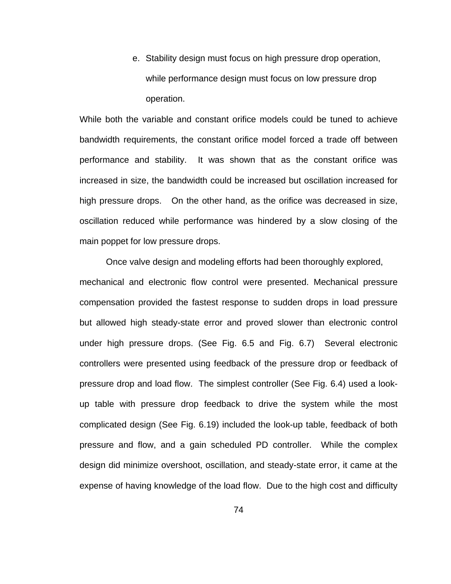e. Stability design must focus on high pressure drop operation, while performance design must focus on low pressure drop operation.

While both the variable and constant orifice models could be tuned to achieve bandwidth requirements, the constant orifice model forced a trade off between performance and stability. It was shown that as the constant orifice was increased in size, the bandwidth could be increased but oscillation increased for high pressure drops. On the other hand, as the orifice was decreased in size, oscillation reduced while performance was hindered by a slow closing of the main poppet for low pressure drops.

 Once valve design and modeling efforts had been thoroughly explored, mechanical and electronic flow control were presented. Mechanical pressure compensation provided the fastest response to sudden drops in load pressure but allowed high steady-state error and proved slower than electronic control under high pressure drops. (See [Fig. 6.5](#page-56-0) and [Fig. 6.7\)](#page-58-0) Several electronic controllers were presented using feedback of the pressure drop or feedback of pressure drop and load flow. The simplest controller (See [Fig. 6.4](#page-55-0)) used a lookup table with pressure drop feedback to drive the system while the most complicated design (See [Fig. 6.19](#page-66-0)) included the look-up table, feedback of both pressure and flow, and a gain scheduled PD controller. While the complex design did minimize overshoot, oscillation, and steady-state error, it came at the expense of having knowledge of the load flow. Due to the high cost and difficulty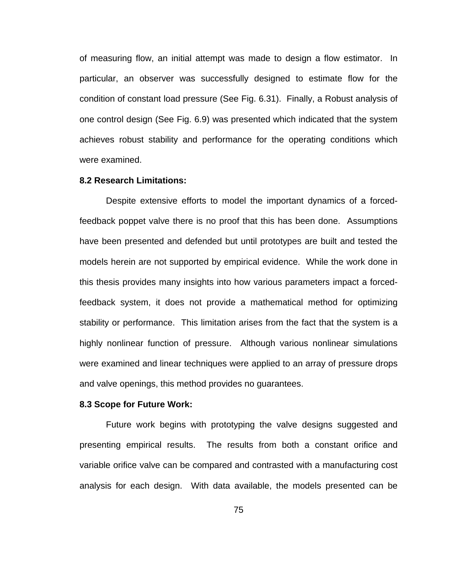of measuring flow, an initial attempt was made to design a flow estimator. In particular, an observer was successfully designed to estimate flow for the condition of constant load pressure (See [Fig. 6.31\)](#page-74-0). Finally, a Robust analysis of one control design (See [Fig. 6.9\)](#page-59-0) was presented which indicated that the system achieves robust stability and performance for the operating conditions which were examined.

### **8.2 Research Limitations:**

Despite extensive efforts to model the important dynamics of a forcedfeedback poppet valve there is no proof that this has been done. Assumptions have been presented and defended but until prototypes are built and tested the models herein are not supported by empirical evidence. While the work done in this thesis provides many insights into how various parameters impact a forcedfeedback system, it does not provide a mathematical method for optimizing stability or performance. This limitation arises from the fact that the system is a highly nonlinear function of pressure. Although various nonlinear simulations were examined and linear techniques were applied to an array of pressure drops and valve openings, this method provides no guarantees.

#### **8.3 Scope for Future Work:**

Future work begins with prototyping the valve designs suggested and presenting empirical results. The results from both a constant orifice and variable orifice valve can be compared and contrasted with a manufacturing cost analysis for each design. With data available, the models presented can be

75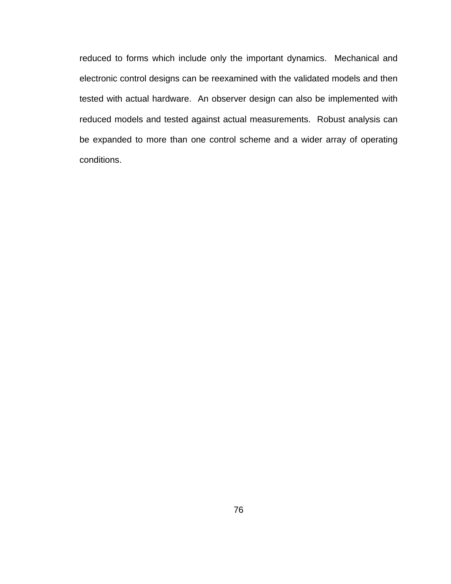reduced to forms which include only the important dynamics. Mechanical and electronic control designs can be reexamined with the validated models and then tested with actual hardware. An observer design can also be implemented with reduced models and tested against actual measurements. Robust analysis can be expanded to more than one control scheme and a wider array of operating conditions.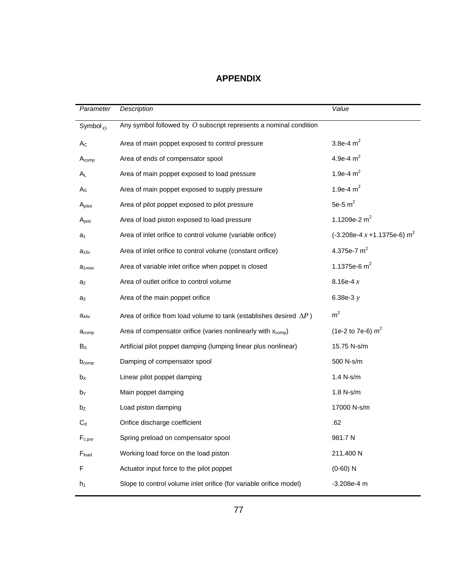# **APPENDIX**

| Parameter         | Description                                                                | Value                          |
|-------------------|----------------------------------------------------------------------------|--------------------------------|
| Symbol $_0$       | Any symbol followed by $O$ subscript represents a nominal condition        |                                |
| $A_{C}$           | Area of main poppet exposed to control pressure                            | 3.8e-4 $m^2$                   |
| $A_{comp}$        | Area of ends of compensator spool                                          | 4.9e-4 $m2$                    |
| Aι                | Area of main poppet exposed to load pressure                               | 1.9e-4 $m2$                    |
| $A_{S}$           | Area of main poppet exposed to supply pressure                             | 1.9e-4 $m2$                    |
| Apilot            | Area of pilot poppet exposed to pilot pressure                             | 5e-5 $m2$                      |
| A <sub>Dist</sub> | Area of load piston exposed to load pressure                               | 1.1209e-2 $m2$                 |
| a <sub>1</sub>    | Area of inlet orifice to control volume (variable orifice)                 | $(-3.208e-4 x + 1.1375e-6) m2$ |
| $a_{1fix}$        | Area of inlet orifice to control volume (constant orifice)                 | 4.375e-7 $m^2$                 |
| $a_{1max}$        | Area of variable inlet orifice when poppet is closed                       | 1.1375e-6 $m^2$                |
| a <sub>2</sub>    | Area of outlet orifice to control volume                                   | 8.16e-4 $x$                    |
| a3                | Area of the main poppet orifice                                            | 6.38e-3 $y$                    |
| $a_{4fix}$        | Area of orifice from load volume to tank (establishes desired $\Delta P$ ) | m <sup>2</sup>                 |
| $a_{comp}$        | Area of compensator orifice (varies nonlinearly with $x_{\text{comp}}$ )   | (1e-2 to 7e-6) $m^2$           |
| $B_X$             | Artificial pilot poppet damping (lumping linear plus nonlinear)            | 15.75 N-s/m                    |
| $D_{comp}$        | Damping of compensator spool                                               | 500 N-s/m                      |
| b <sub>x</sub>    | Linear pilot poppet damping                                                | 1.4 N-s/m                      |
| bγ                | Main poppet damping                                                        | 1.8 N-s/m                      |
| bz                | Load piston damping                                                        | 17000 N-s/m                    |
| $C_d$             | Orifice discharge coefficient                                              | .62                            |
| $F_{c,pre}$       | Spring preload on compensator spool                                        | 981.7 N                        |
| $F_{load}$        | Working load force on the load piston                                      | 211,400 N                      |
| F                 | Actuator input force to the pilot poppet                                   | $(0-60) N$                     |
| $h_1$             | Slope to control volume inlet orifice (for variable orifice model)         | $-3.208e-4$ m                  |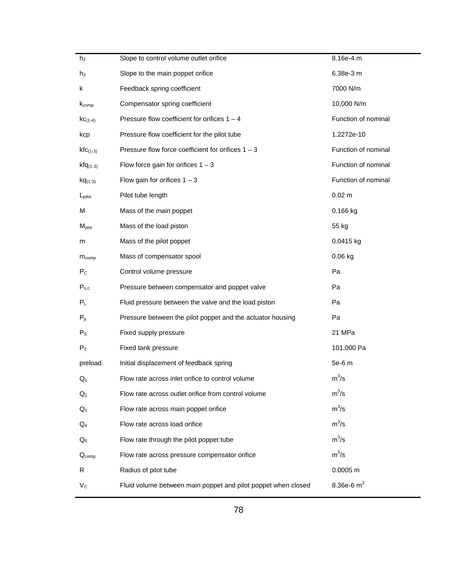| h <sub>2</sub>     | Slope to control volume outlet orifice                        | 8.16e-4 m           |
|--------------------|---------------------------------------------------------------|---------------------|
| $h_3$              | Slope to the main poppet orifice                              | 6.38e-3 m           |
| k                  | Feedback spring coefficient                                   | 7000 N/m            |
| $K_{comp}$         | Compensator spring coefficient                                | 10,000 N/m          |
| $KC_{(1-4)}$       | Pressure flow coefficient for orifices $1 - 4$                | Function of nominal |
| kcp                | Pressure flow coefficient for the pilot tube                  | 1.2272e-10          |
| $kfc_{(1-3)}$      | Pressure flow force coefficient for orifices $1 - 3$          | Function of nominal |
| $kfq_{(1-3)}$      | Flow force gain for orifices $1 - 3$                          | Function of nominal |
| $kq_{(1-3)}$       | Flow gain for orifices $1 - 3$                                | Function of nominal |
| $L_{\text{pilot}}$ | Pilot tube length                                             | $0.02 \text{ m}$    |
| М                  | Mass of the main poppet                                       | 0.166 kg            |
| $M_{\text{pist}}$  | Mass of the load piston                                       | 55 kg               |
| m                  | Mass of the pilot poppet                                      | 0.0415 kg           |
| $m_{comp}$         | Mass of compensator spool                                     | 0.06 kg             |
| $P_{\rm C}$        | Control volume pressure                                       | Pa                  |
| $P_{s,c}$          | Pressure between compensator and poppet valve                 | Pa                  |
| $P_L$              | Fluid pressure between the valve and the load piston          | Pa                  |
| $P_p$              | Pressure between the pilot poppet and the actuator housing    | Pa                  |
| $P_{\rm S}$        | Fixed supply pressure                                         | 21 MPa              |
| $P_T$              | Fixed tank pressure                                           | 101,000 Pa          |
| preload            | Initial displacement of feedback spring                       | 5e-6 m              |
| $Q_1$              | Flow rate across inlet orifice to control volume              | $m^3/s$             |
| $Q_2$              | Flow rate across outlet orifice from control volume           | $m^3/s$             |
| $Q_3$              | Flow rate across main poppet orifice                          | $m^3/s$             |
| $Q_4$              | Flow rate across load orifice                                 | $m^3/s$             |
| $\mathsf{Q}_{6}$   | Flow rate through the pilot poppet tube                       | $m^3/s$             |
| $Q_{comp}$         | Flow rate across pressure compensator orifice                 | $m^3/s$             |
| R                  | Radius of pilot tube                                          | $0.0005$ m          |
| $V_C$              | Fluid volume between main poppet and pilot poppet when closed | 8.36e-6 $m3$        |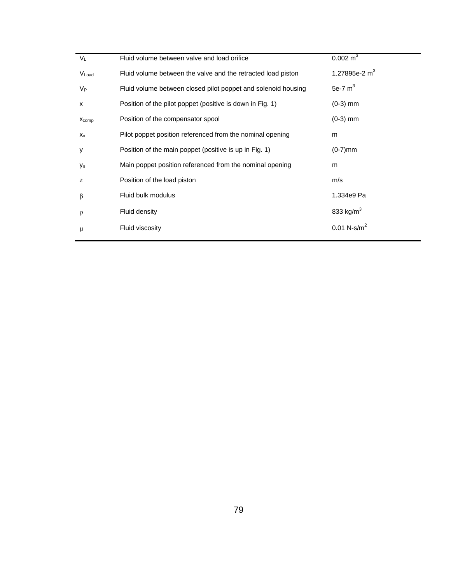| $V_L$                 | Fluid volume between valve and load orifice                   | $0.002 \text{ m}^3$       |
|-----------------------|---------------------------------------------------------------|---------------------------|
| VLoad                 | Fluid volume between the valve and the retracted load piston  | 1.27895e-2 $m3$           |
| $V_{P}$               | Fluid volume between closed pilot poppet and solenoid housing | 5e-7 $m3$                 |
| X                     | Position of the pilot poppet (positive is down in Fig. 1)     | $(0-3)$ mm                |
| $X_{comp}$            | Position of the compensator spool                             | $(0-3)$ mm                |
| $x_n$                 | Pilot poppet position referenced from the nominal opening     | m                         |
| у                     | Position of the main poppet (positive is up in Fig. 1)        | $(0-7)$ mm                |
| <b>y</b> <sub>n</sub> | Main poppet position referenced from the nominal opening      | m                         |
| z                     | Position of the load piston                                   | m/s                       |
| β                     | Fluid bulk modulus                                            | 1.334e9 Pa                |
| $\rho$                | Fluid density                                                 | 833 kg/m <sup>3</sup>     |
| μ                     | Fluid viscosity                                               | $0.01$ N-s/m <sup>2</sup> |
|                       |                                                               |                           |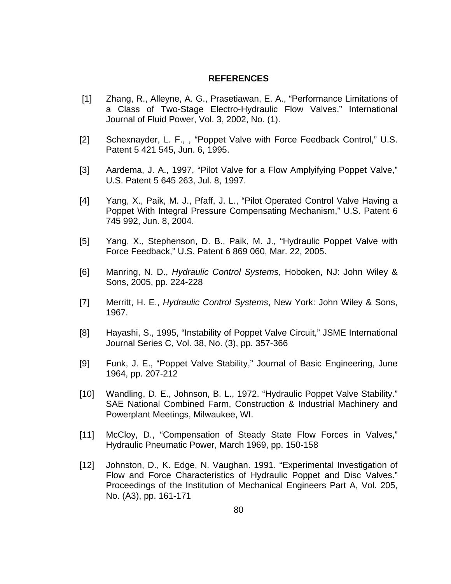#### **REFERENCES**

- [1] Zhang, R., Alleyne, A. G., Prasetiawan, E. A., "Performance Limitations of a Class of Two-Stage Electro-Hydraulic Flow Valves," International Journal of Fluid Power, Vol. 3, 2002, No. (1).
- [2] Schexnayder, L. F.,, "Poppet Valve with Force Feedback Control," U.S. Patent 5 421 545, Jun. 6, 1995.
- [3] Aardema, J. A., 1997, "Pilot Valve for a Flow Amplyifying Poppet Valve," U.S. Patent 5 645 263, Jul. 8, 1997.
- [4] Yang, X., Paik, M. J., Pfaff, J. L., "Pilot Operated Control Valve Having a Poppet With Integral Pressure Compensating Mechanism," U.S. Patent 6 745 992, Jun. 8, 2004.
- [5] Yang, X., Stephenson, D. B., Paik, M. J., "Hydraulic Poppet Valve with Force Feedback," U.S. Patent 6 869 060, Mar. 22, 2005.
- [6] Manring, N. D., *Hydraulic Control Systems*, Hoboken, NJ: John Wiley & Sons, 2005, pp. 224-228
- [7] Merritt, H. E., *Hydraulic Control Systems*, New York: John Wiley & Sons, 1967.
- [8] Hayashi, S., 1995, "Instability of Poppet Valve Circuit," JSME International Journal Series C, Vol. 38, No. (3), pp. 357-366
- [9] Funk, J. E., "Poppet Valve Stability," Journal of Basic Engineering, June 1964, pp. 207-212
- [10] Wandling, D. E., Johnson, B. L., 1972. "Hydraulic Poppet Valve Stability." SAE National Combined Farm, Construction & Industrial Machinery and Powerplant Meetings, Milwaukee, WI.
- [11] McCloy, D., "Compensation of Steady State Flow Forces in Valves," Hydraulic Pneumatic Power, March 1969, pp. 150-158
- [12] Johnston, D., K. Edge, N. Vaughan. 1991. "Experimental Investigation of Flow and Force Characteristics of Hydraulic Poppet and Disc Valves." Proceedings of the Institution of Mechanical Engineers Part A, Vol. 205, No. (A3), pp. 161-171